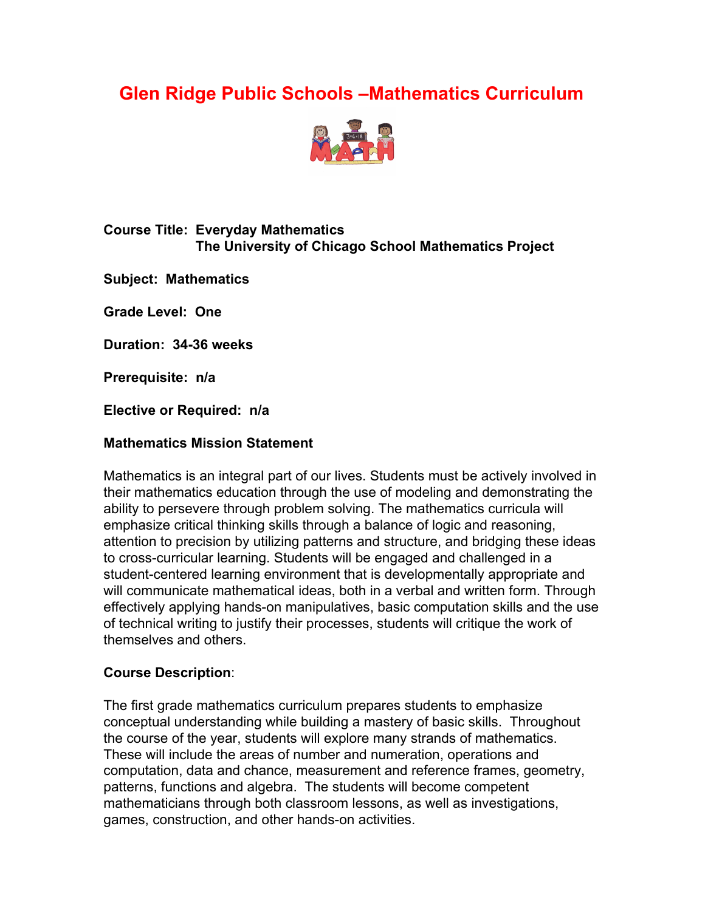# **Glen Ridge Public Schools –Mathematics Curriculum**



## **Course Title: Everyday Mathematics The University of Chicago School Mathematics Project**

**Subject: Mathematics**

**Grade Level: One**

**Duration: 34-36 weeks**

**Prerequisite: n/a**

**Elective or Required: n/a**

#### **Mathematics Mission Statement**

Mathematics is an integral part of our lives. Students must be actively involved in their mathematics education through the use of modeling and demonstrating the ability to persevere through problem solving. The mathematics curricula will emphasize critical thinking skills through a balance of logic and reasoning, attention to precision by utilizing patterns and structure, and bridging these ideas to cross-curricular learning. Students will be engaged and challenged in a student-centered learning environment that is developmentally appropriate and will communicate mathematical ideas, both in a verbal and written form. Through effectively applying hands-on manipulatives, basic computation skills and the use of technical writing to justify their processes, students will critique the work of themselves and others.

#### **Course Description**:

The first grade mathematics curriculum prepares students to emphasize conceptual understanding while building a mastery of basic skills. Throughout the course of the year, students will explore many strands of mathematics. These will include the areas of number and numeration, operations and computation, data and chance, measurement and reference frames, geometry, patterns, functions and algebra. The students will become competent mathematicians through both classroom lessons, as well as investigations, games, construction, and other hands-on activities.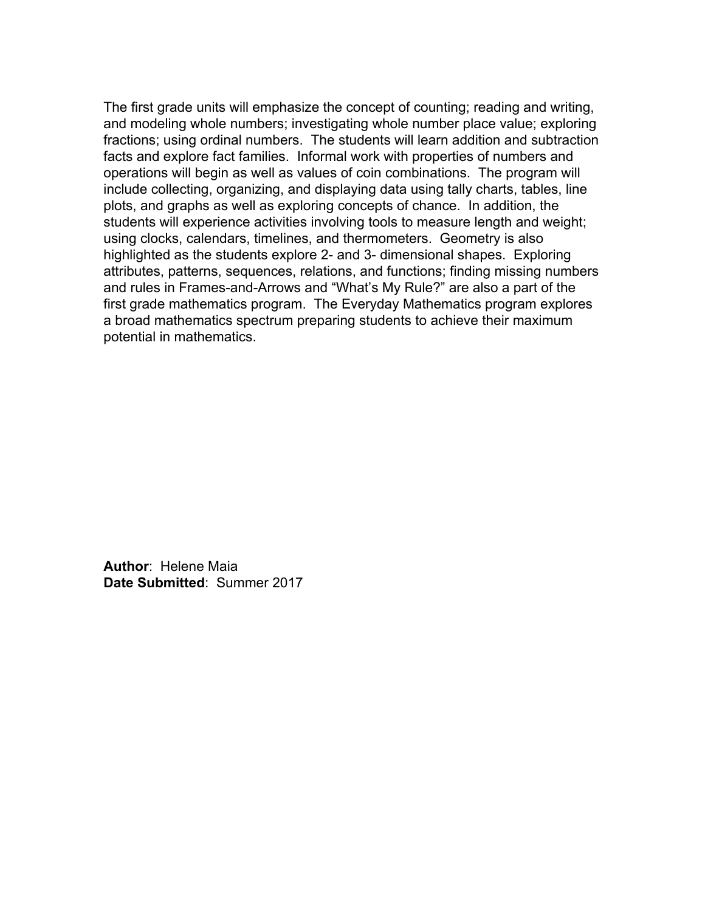The first grade units will emphasize the concept of counting; reading and writing, and modeling whole numbers; investigating whole number place value; exploring fractions; using ordinal numbers. The students will learn addition and subtraction facts and explore fact families. Informal work with properties of numbers and operations will begin as well as values of coin combinations. The program will include collecting, organizing, and displaying data using tally charts, tables, line plots, and graphs as well as exploring concepts of chance. In addition, the students will experience activities involving tools to measure length and weight; using clocks, calendars, timelines, and thermometers. Geometry is also highlighted as the students explore 2- and 3- dimensional shapes. Exploring attributes, patterns, sequences, relations, and functions; finding missing numbers and rules in Frames-and-Arrows and "What's My Rule?" are also a part of the first grade mathematics program. The Everyday Mathematics program explores a broad mathematics spectrum preparing students to achieve their maximum potential in mathematics.

**Author**: Helene Maia **Date Submitted**: Summer 2017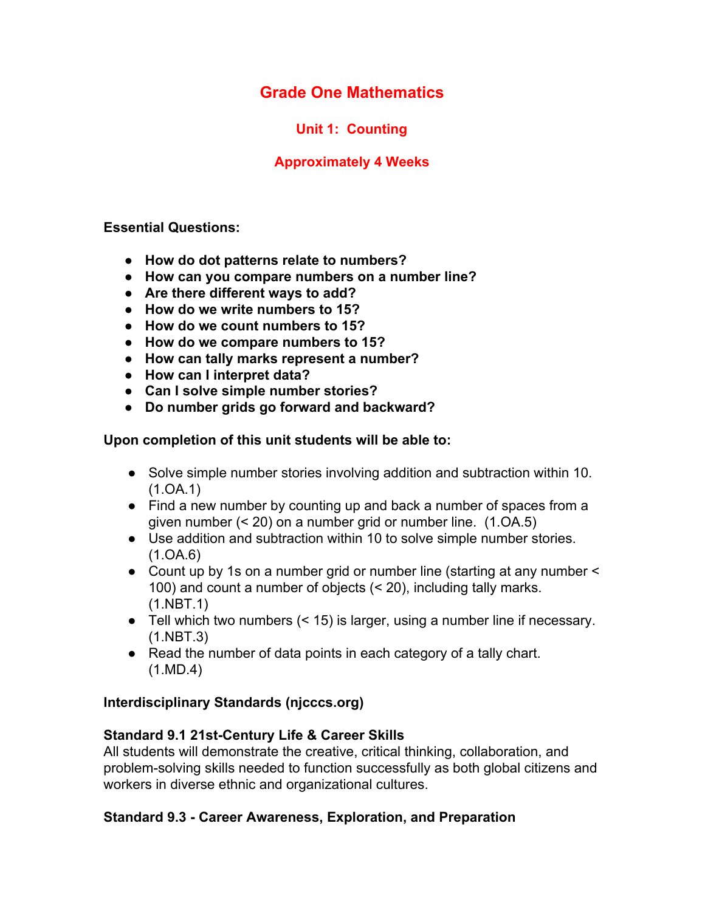**Unit 1: Counting**

## **Approximately 4 Weeks**

**Essential Questions:**

- **● How do dot patterns relate to numbers?**
- **● How can you compare numbers on a number line?**
- **● Are there different ways to add?**
- **● How do we write numbers to 15?**
- **● How do we count numbers to 15?**
- **● How do we compare numbers to 15?**
- **● How can tally marks represent a number?**
- **● How can I interpret data?**
- **● Can I solve simple number stories?**
- **● Do number grids go forward and backward?**

**Upon completion of this unit students will be able to:**

- Solve simple number stories involving addition and subtraction within 10. (1.OA.1)
- Find a new number by counting up and back a number of spaces from a given number (< 20) on a number grid or number line. (1.OA.5)
- Use addition and subtraction within 10 to solve simple number stories. (1.OA.6)
- Count up by 1s on a number grid or number line (starting at any number  $\leq$ 100) and count a number of objects (< 20), including tally marks. (1.NBT.1)
- Tell which two numbers (< 15) is larger, using a number line if necessary. (1.NBT.3)
- Read the number of data points in each category of a tally chart. (1.MD.4)

## **Interdisciplinary Standards (njcccs.org)**

## **Standard 9.1 21st-Century Life & Career Skills**

All students will demonstrate the creative, critical thinking, collaboration, and problem-solving skills needed to function successfully as both global citizens and workers in diverse ethnic and organizational cultures.

## **Standard 9.3 - Career Awareness, Exploration, and Preparation**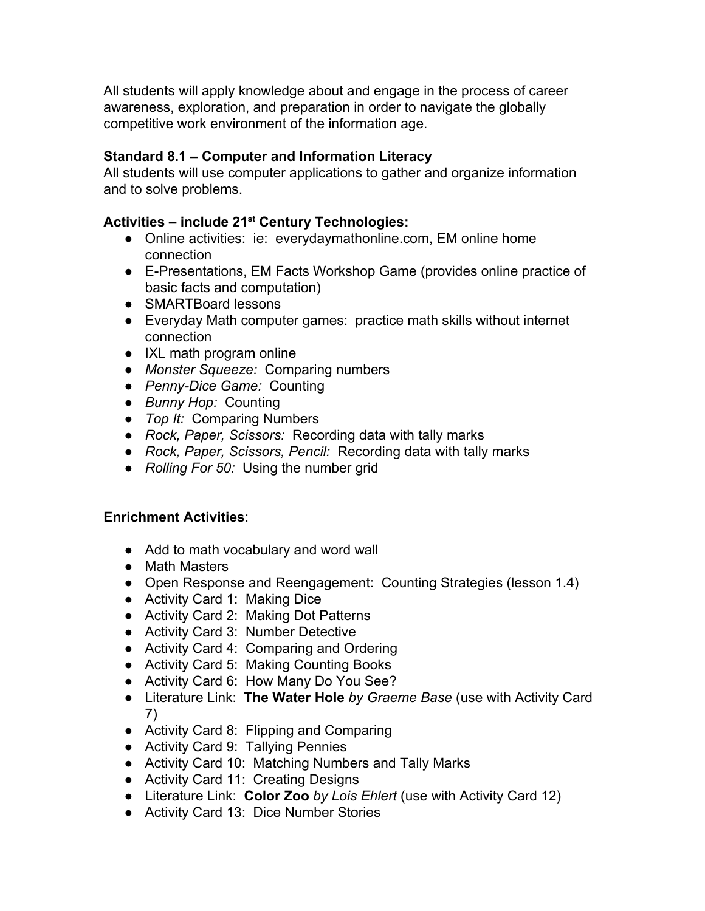All students will apply knowledge about and engage in the process of career awareness, exploration, and preparation in order to navigate the globally competitive work environment of the information age.

## **Standard 8.1 – Computer and Information Literacy**

All students will use computer applications to gather and organize information and to solve problems.

# **Activities – include 21 st Century Technologies:**

- Online activities: ie: everydaymathonline.com, EM online home connection
- E-Presentations, EM Facts Workshop Game (provides online practice of basic facts and computation)
- SMARTBoard lessons
- Everyday Math computer games: practice math skills without internet connection
- IXL math program online
- *● Monster Squeeze:* Comparing numbers
- *● Penny-Dice Game:* Counting
- *● Bunny Hop:* Counting
- *● Top It:* Comparing Numbers
- *● Rock, Paper, Scissors:* Recording data with tally marks
- *● Rock, Paper, Scissors, Pencil:* Recording data with tally marks
- *● Rolling For 50:* Using the number grid

## **Enrichment Activities**:

- Add to math vocabulary and word wall
- Math Masters
- Open Response and Reengagement: Counting Strategies (lesson 1.4)
- Activity Card 1: Making Dice
- Activity Card 2: Making Dot Patterns
- Activity Card 3: Number Detective
- Activity Card 4: Comparing and Ordering
- Activity Card 5: Making Counting Books
- Activity Card 6: How Many Do You See?
- Literature Link: **The Water Hole** *by Graeme Base* (use with Activity Card 7)
- Activity Card 8: Flipping and Comparing
- Activity Card 9: Tallying Pennies
- Activity Card 10: Matching Numbers and Tally Marks
- Activity Card 11: Creating Designs
- Literature Link: **Color Zoo** *by Lois Ehlert* (use with Activity Card 12)
- Activity Card 13: Dice Number Stories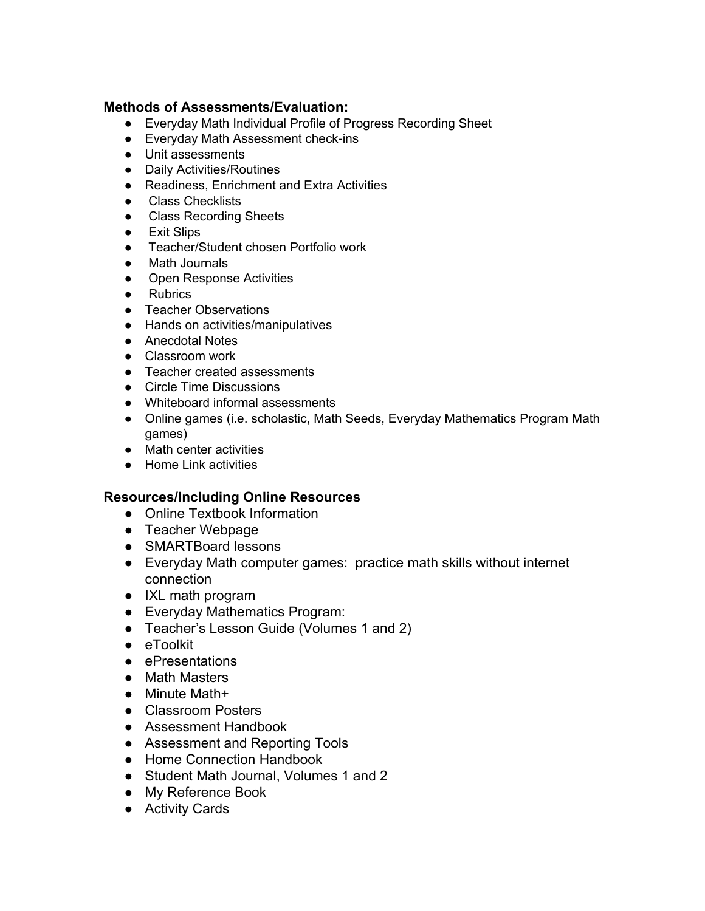#### **Methods of Assessments/Evaluation:**

- Everyday Math Individual Profile of Progress Recording Sheet
- Everyday Math Assessment check-ins
- Unit assessments
- Daily Activities/Routines
- Readiness, Enrichment and Extra Activities
- Class Checklists
- Class Recording Sheets
- Exit Slips
- Teacher/Student chosen Portfolio work
- Math Journals
- Open Response Activities
- Rubrics
- Teacher Observations
- Hands on activities/manipulatives
- Anecdotal Notes
- Classroom work
- Teacher created assessments
- Circle Time Discussions
- Whiteboard informal assessments
- Online games (i.e. scholastic, Math Seeds, Everyday Mathematics Program Math games)
- Math center activities
- Home Link activities

- Online Textbook Information
- Teacher Webpage
- SMARTBoard lessons
- Everyday Math computer games: practice math skills without internet connection
- IXL math program
- Everyday Mathematics Program:
- Teacher's Lesson Guide (Volumes 1 and 2)
- eToolkit
- ePresentations
- Math Masters
- Minute Math+
- Classroom Posters
- Assessment Handbook
- Assessment and Reporting Tools
- Home Connection Handbook
- Student Math Journal, Volumes 1 and 2
- My Reference Book
- Activity Cards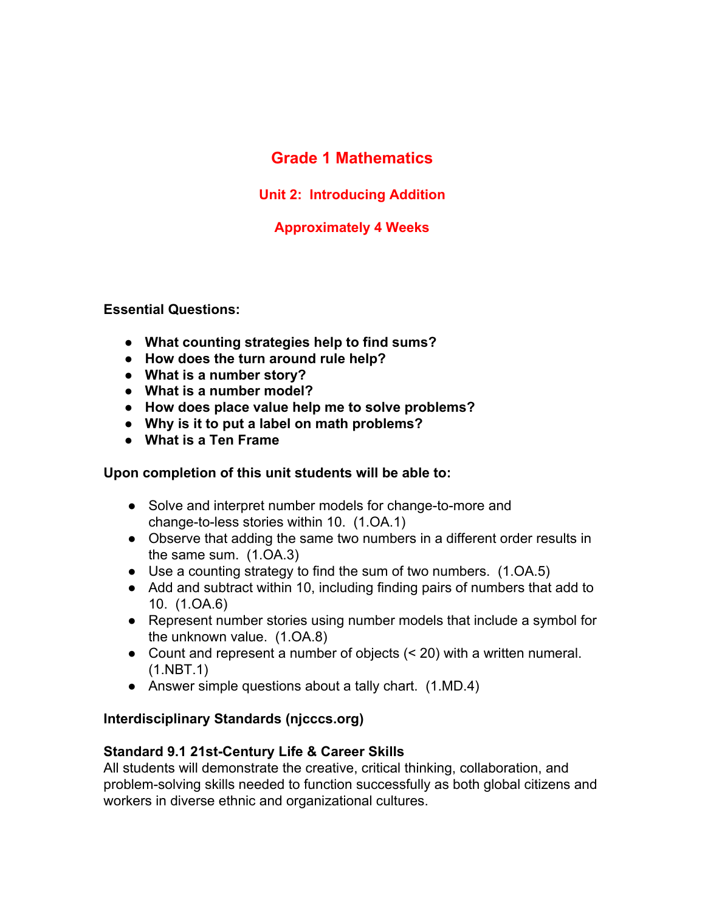# **Grade 1 Mathematics**

**Unit 2: Introducing Addition**

## **Approximately 4 Weeks**

**Essential Questions:**

- **● What counting strategies help to find sums?**
- **● How does the turn around rule help?**
- **● What is a number story?**
- **● What is a number model?**
- **● How does place value help me to solve problems?**
- **● Why is it to put a label on math problems?**
- **● What is a Ten Frame**

## **Upon completion of this unit students will be able to:**

- Solve and interpret number models for change-to-more and change-to-less stories within 10. (1.OA.1)
- Observe that adding the same two numbers in a different order results in the same sum. (1.OA.3)
- Use a counting strategy to find the sum of two numbers. (1.OA.5)
- Add and subtract within 10, including finding pairs of numbers that add to 10. (1.OA.6)
- Represent number stories using number models that include a symbol for the unknown value. (1.OA.8)
- Count and represent a number of objects (< 20) with a written numeral. (1.NBT.1)
- Answer simple questions about a tally chart. (1.MD.4)

## **Interdisciplinary Standards (njcccs.org)**

## **Standard 9.1 21st-Century Life & Career Skills**

All students will demonstrate the creative, critical thinking, collaboration, and problem-solving skills needed to function successfully as both global citizens and workers in diverse ethnic and organizational cultures.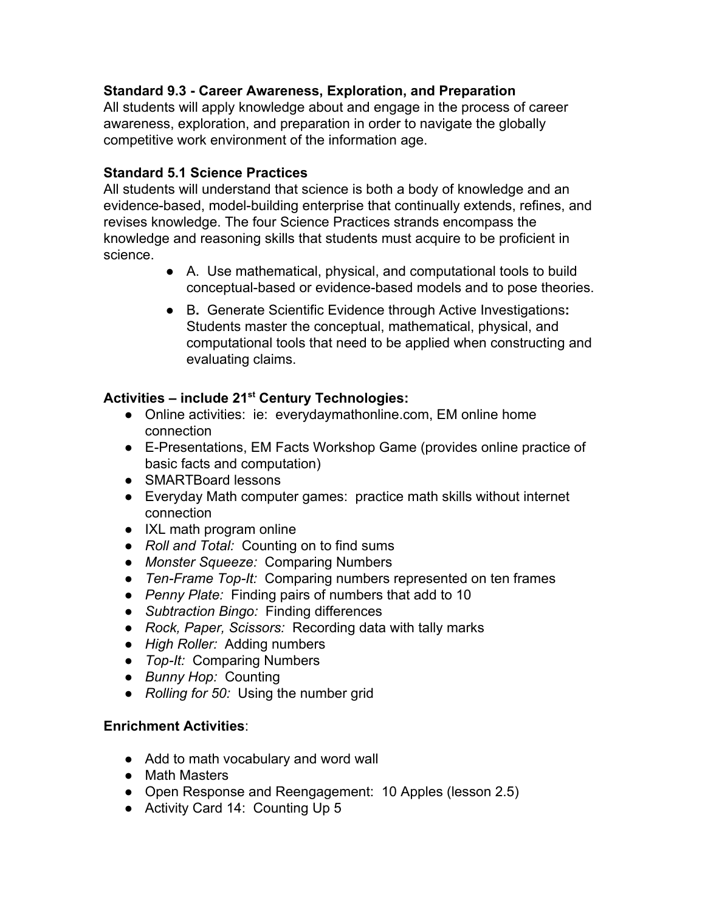## **Standard 9.3 - Career Awareness, Exploration, and Preparation**

All students will apply knowledge about and engage in the process of career awareness, exploration, and preparation in order to navigate the globally competitive work environment of the information age.

## **Standard 5.1 Science Practices**

All students will understand that science is both a body of knowledge and an evidence-based, model-building enterprise that continually extends, refines, and revises knowledge. The four Science Practices strands encompass the knowledge and reasoning skills that students must acquire to be proficient in science.

- A. Use mathematical, physical, and computational tools to build conceptual-based or evidence-based models and to pose theories.
- B**.** Generate Scientific Evidence through Active Investigations**:** Students master the conceptual, mathematical, physical, and computational tools that need to be applied when constructing and evaluating claims.

# **Activities – include 21 st Century Technologies:**

- Online activities: ie: everydaymathonline.com, EM online home connection
- E-Presentations, EM Facts Workshop Game (provides online practice of basic facts and computation)
- SMARTBoard lessons
- Everyday Math computer games: practice math skills without internet connection
- IXL math program online
- *● Roll and Total:* Counting on to find sums
- *● Monster Squeeze:* Comparing Numbers
- *● Ten-Frame Top-It:* Comparing numbers represented on ten frames
- *● Penny Plate:* Finding pairs of numbers that add to 10
- *● Subtraction Bingo:* Finding differences
- *● Rock, Paper, Scissors:* Recording data with tally marks
- *● High Roller:* Adding numbers
- *● Top-It:* Comparing Numbers
- *● Bunny Hop:* Counting
- *● Rolling for 50:* Using the number grid

## **Enrichment Activities**:

- Add to math vocabulary and word wall
- Math Masters
- Open Response and Reengagement: 10 Apples (lesson 2.5)
- Activity Card 14: Counting Up 5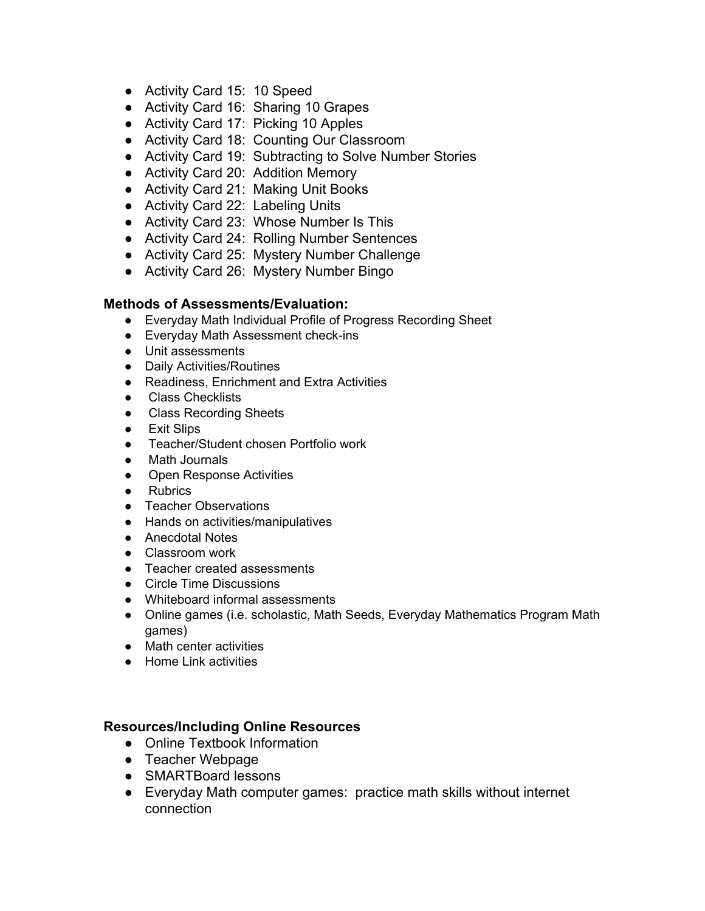- Activity Card 15: 10 Speed
- Activity Card 16: Sharing 10 Grapes
- Activity Card 17: Picking 10 Apples
- Activity Card 18: Counting Our Classroom
- Activity Card 19: Subtracting to Solve Number Stories
- Activity Card 20: Addition Memory
- Activity Card 21: Making Unit Books
- Activity Card 22: Labeling Units
- Activity Card 23: Whose Number Is This
- Activity Card 24: Rolling Number Sentences
- Activity Card 25: Mystery Number Challenge
- Activity Card 26: Mystery Number Bingo

#### **Methods of Assessments/Evaluation:**

- Everyday Math Individual Profile of Progress Recording Sheet
- Everyday Math Assessment check-ins
- Unit assessments
- Daily Activities/Routines
- Readiness, Enrichment and Extra Activities
- Class Checklists
- Class Recording Sheets
- **Exit Slips**
- Teacher/Student chosen Portfolio work
- Math Journals
- Open Response Activities
- Rubrics
- Teacher Observations
- Hands on activities/manipulatives
- Anecdotal Notes
- Classroom work
- Teacher created assessments
- Circle Time Discussions
- Whiteboard informal assessments
- Online games (i.e. scholastic, Math Seeds, Everyday Mathematics Program Math games)
- Math center activities
- Home Link activities

- Online Textbook Information
- Teacher Webpage
- SMARTBoard lessons
- Everyday Math computer games: practice math skills without internet connection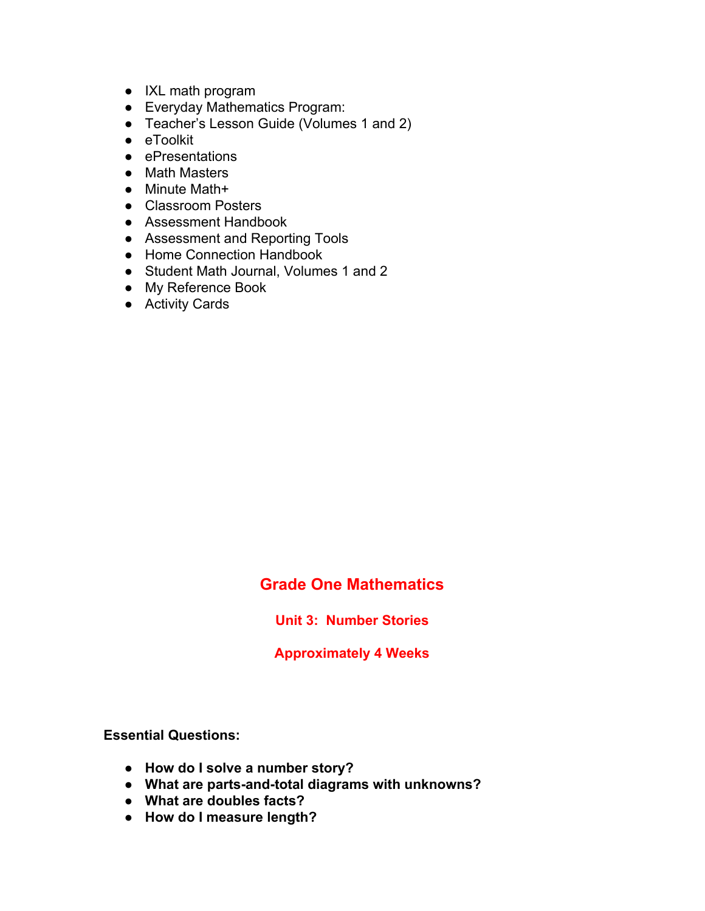- IXL math program
- Everyday Mathematics Program:
- Teacher's Lesson Guide (Volumes 1 and 2)
- eToolkit
- ePresentations
- Math Masters
- Minute Math+
- Classroom Posters
- Assessment Handbook
- Assessment and Reporting Tools
- Home Connection Handbook
- Student Math Journal, Volumes 1 and 2
- My Reference Book
- Activity Cards

**Unit 3: Number Stories**

**Approximately 4 Weeks**

**Essential Questions:**

- **● How do I solve a number story?**
- **● What are parts-and-total diagrams with unknowns?**
- **● What are doubles facts?**
- **● How do I measure length?**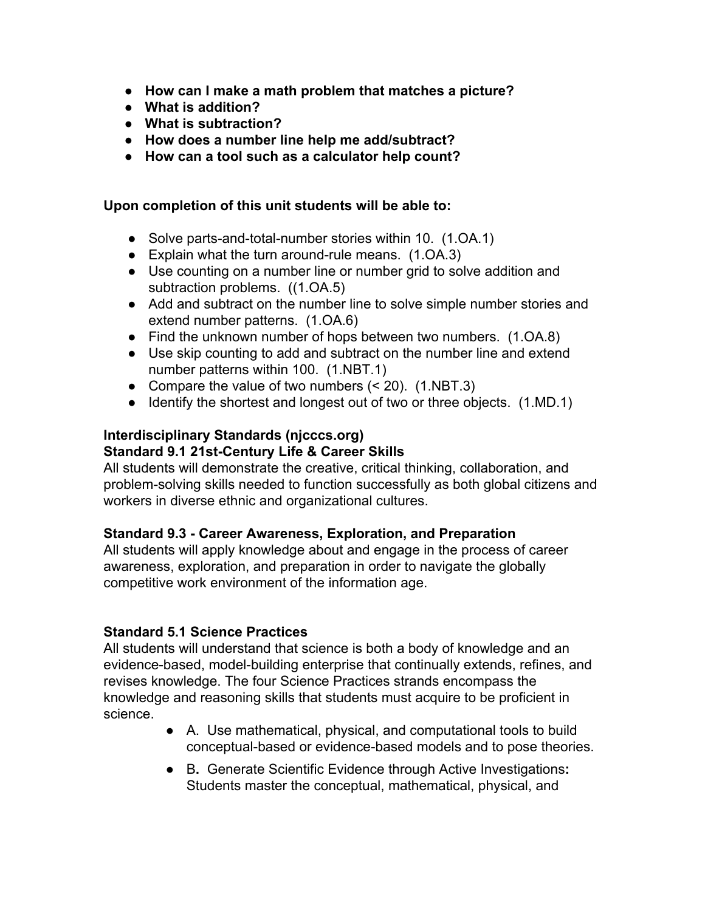- **● How can I make a math problem that matches a picture?**
- **● What is addition?**
- **● What is subtraction?**
- **● How does a number line help me add/subtract?**
- **● How can a tool such as a calculator help count?**

#### **Upon completion of this unit students will be able to:**

- Solve parts-and-total-number stories within 10. (1.OA.1)
- Explain what the turn around-rule means. (1.OA.3)
- Use counting on a number line or number grid to solve addition and subtraction problems. ((1.OA.5)
- Add and subtract on the number line to solve simple number stories and extend number patterns. (1.OA.6)
- Find the unknown number of hops between two numbers. (1.OA.8)
- Use skip counting to add and subtract on the number line and extend number patterns within 100. (1.NBT.1)
- Compare the value of two numbers  $( $20$ )$ . (1.NBT.3)
- Identify the shortest and longest out of two or three objects. (1.MD.1)

#### **Interdisciplinary Standards (njcccs.org) Standard 9.1 21st-Century Life & Career Skills**

All students will demonstrate the creative, critical thinking, collaboration, and problem-solving skills needed to function successfully as both global citizens and workers in diverse ethnic and organizational cultures.

#### **Standard 9.3 - Career Awareness, Exploration, and Preparation**

All students will apply knowledge about and engage in the process of career awareness, exploration, and preparation in order to navigate the globally competitive work environment of the information age.

#### **Standard 5.1 Science Practices**

All students will understand that science is both a body of knowledge and an evidence-based, model-building enterprise that continually extends, refines, and revises knowledge. The four Science Practices strands encompass the knowledge and reasoning skills that students must acquire to be proficient in science.

- A. Use mathematical, physical, and computational tools to build conceptual-based or evidence-based models and to pose theories.
- B**.** Generate Scientific Evidence through Active Investigations**:** Students master the conceptual, mathematical, physical, and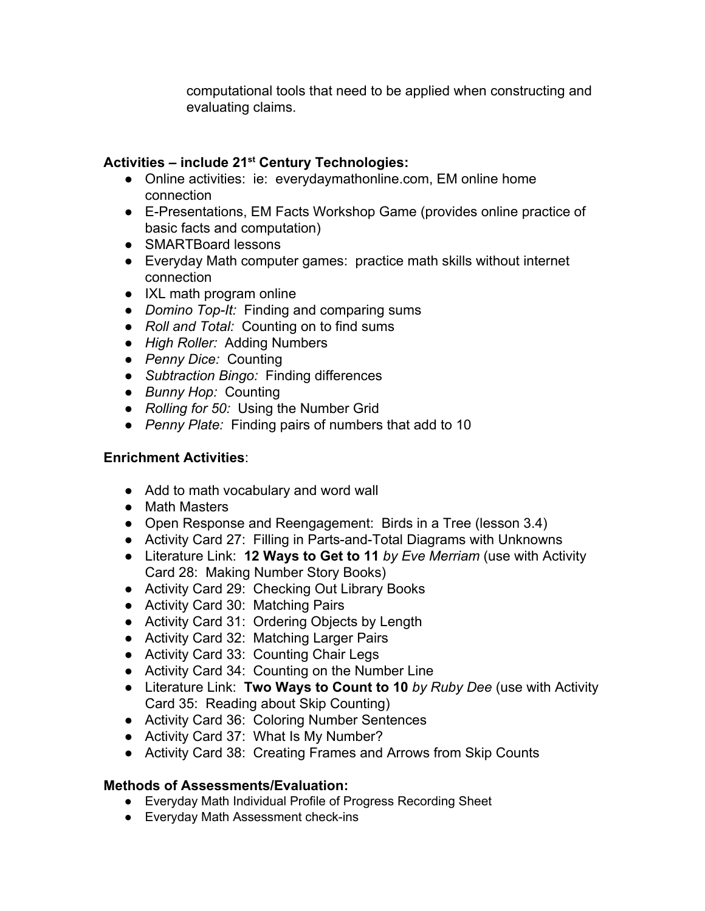computational tools that need to be applied when constructing and evaluating claims.

# **Activities – include 21 st Century Technologies:**

- Online activities: ie: everydaymathonline.com, EM online home connection
- E-Presentations, EM Facts Workshop Game (provides online practice of basic facts and computation)
- SMARTBoard lessons
- Everyday Math computer games: practice math skills without internet connection
- IXL math program online
- *● Domino Top-It:* Finding and comparing sums
- *● Roll and Total:* Counting on to find sums
- *● High Roller:* Adding Numbers
- *● Penny Dice:* Counting
- *● Subtraction Bingo:* Finding differences
- *● Bunny Hop:* Counting
- *● Rolling for 50:* Using the Number Grid
- *● Penny Plate:* Finding pairs of numbers that add to 10

## **Enrichment Activities**:

- Add to math vocabulary and word wall
- Math Masters
- Open Response and Reengagement: Birds in a Tree (lesson 3.4)
- Activity Card 27: Filling in Parts-and-Total Diagrams with Unknowns
- Literature Link: **12 Ways to Get to 11** *by Eve Merriam* (use with Activity Card 28: Making Number Story Books)
- Activity Card 29: Checking Out Library Books
- Activity Card 30: Matching Pairs
- Activity Card 31: Ordering Objects by Length
- Activity Card 32: Matching Larger Pairs
- Activity Card 33: Counting Chair Legs
- Activity Card 34: Counting on the Number Line
- Literature Link: **Two Ways to Count to 10** *by Ruby Dee* (use with Activity Card 35: Reading about Skip Counting)
- Activity Card 36: Coloring Number Sentences
- Activity Card 37: What Is My Number?
- Activity Card 38: Creating Frames and Arrows from Skip Counts

## **Methods of Assessments/Evaluation:**

- Everyday Math Individual Profile of Progress Recording Sheet
- Everyday Math Assessment check-ins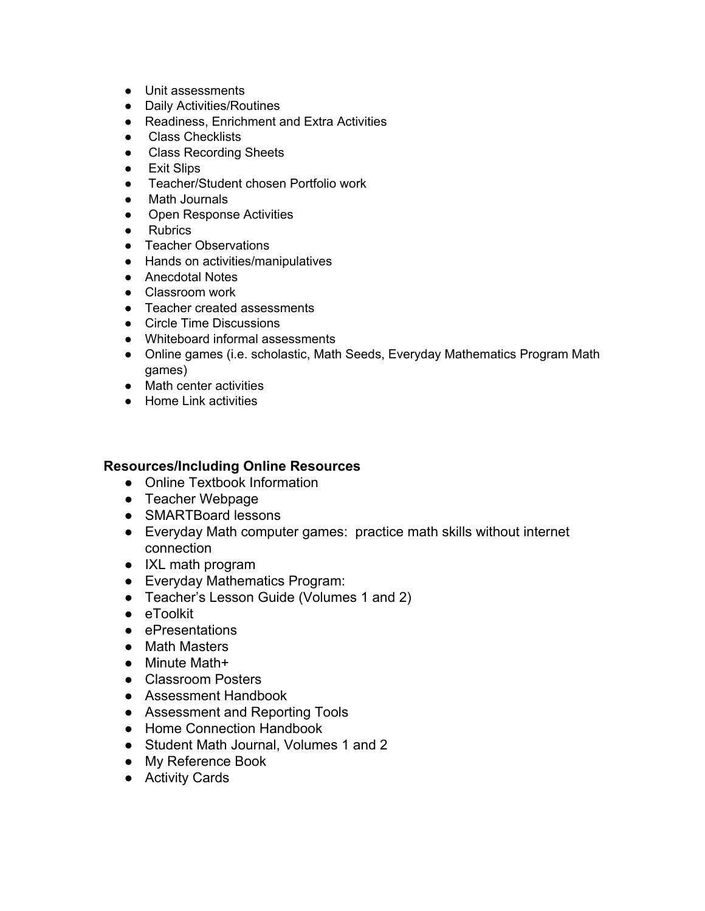- Unit assessments
- Daily Activities/Routines
- Readiness, Enrichment and Extra Activities
- Class Checklists
- Class Recording Sheets
- Exit Slips
- Teacher/Student chosen Portfolio work
- Math Journals
- Open Response Activities
- Rubrics
- Teacher Observations
- Hands on activities/manipulatives
- Anecdotal Notes
- Classroom work
- Teacher created assessments
- Circle Time Discussions
- Whiteboard informal assessments
- Online games (i.e. scholastic, Math Seeds, Everyday Mathematics Program Math games)
- Math center activities
- Home Link activities

- Online Textbook Information
- Teacher Webpage
- SMARTBoard lessons
- Everyday Math computer games: practice math skills without internet connection
- IXL math program
- Everyday Mathematics Program:
- Teacher's Lesson Guide (Volumes 1 and 2)
- eToolkit
- ePresentations
- Math Masters
- Minute Math+
- Classroom Posters
- Assessment Handbook
- Assessment and Reporting Tools
- Home Connection Handbook
- Student Math Journal, Volumes 1 and 2
- My Reference Book
- Activity Cards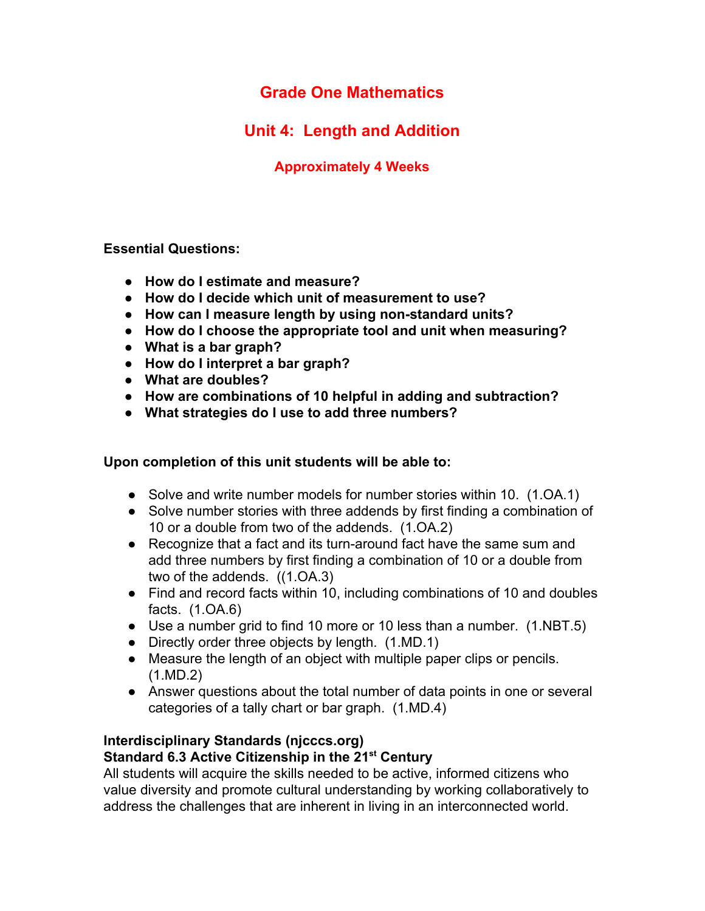# **Unit 4: Length and Addition**

## **Approximately 4 Weeks**

**Essential Questions:**

- **● How do I estimate and measure?**
- **● How do I decide which unit of measurement to use?**
- **● How can I measure length by using non-standard units?**
- **● How do I choose the appropriate tool and unit when measuring?**
- **● What is a bar graph?**
- **● How do I interpret a bar graph?**
- **● What are doubles?**
- **● How are combinations of 10 helpful in adding and subtraction?**
- **● What strategies do I use to add three numbers?**

#### **Upon completion of this unit students will be able to:**

- Solve and write number models for number stories within 10. (1.OA.1)
- Solve number stories with three addends by first finding a combination of 10 or a double from two of the addends. (1.OA.2)
- Recognize that a fact and its turn-around fact have the same sum and add three numbers by first finding a combination of 10 or a double from two of the addends. ((1.OA.3)
- Find and record facts within 10, including combinations of 10 and doubles facts. (1.OA.6)
- Use a number grid to find 10 more or 10 less than a number. (1.NBT.5)
- Directly order three objects by length.  $(1.MD.1)$
- Measure the length of an object with multiple paper clips or pencils. (1.MD.2)
- Answer questions about the total number of data points in one or several categories of a tally chart or bar graph. (1.MD.4)

## **Interdisciplinary Standards (njcccs.org)**

## **Standard 6.3 Active Citizenship in the 21 st Century**

All students will acquire the skills needed to be active, informed citizens who value diversity and promote cultural understanding by working collaboratively to address the challenges that are inherent in living in an interconnected world.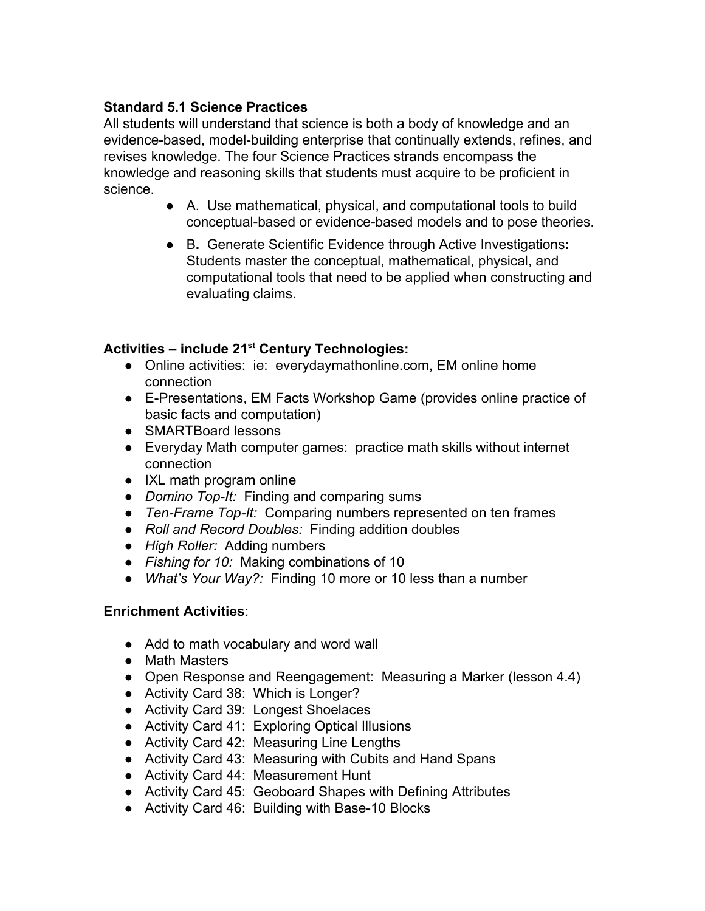## **Standard 5.1 Science Practices**

All students will understand that science is both a body of knowledge and an evidence-based, model-building enterprise that continually extends, refines, and revises knowledge. The four Science Practices strands encompass the knowledge and reasoning skills that students must acquire to be proficient in science.

- A. Use mathematical, physical, and computational tools to build conceptual-based or evidence-based models and to pose theories.
- B**.** Generate Scientific Evidence through Active Investigations**:** Students master the conceptual, mathematical, physical, and computational tools that need to be applied when constructing and evaluating claims.

# **Activities – include 21 st Century Technologies:**

- Online activities: ie: everydaymathonline.com, EM online home connection
- E-Presentations, EM Facts Workshop Game (provides online practice of basic facts and computation)
- SMARTBoard lessons
- Everyday Math computer games: practice math skills without internet connection
- IXL math program online
- *● Domino Top-It:* Finding and comparing sums
- *● Ten-Frame Top-It:* Comparing numbers represented on ten frames
- *● Roll and Record Doubles:* Finding addition doubles
- *● High Roller:* Adding numbers
- *● Fishing for 10:* Making combinations of 10
- *● What's Your Way?:* Finding 10 more or 10 less than a number

## **Enrichment Activities**:

- Add to math vocabulary and word wall
- Math Masters
- Open Response and Reengagement: Measuring a Marker (lesson 4.4)
- Activity Card 38: Which is Longer?
- Activity Card 39: Longest Shoelaces
- Activity Card 41: Exploring Optical Illusions
- Activity Card 42: Measuring Line Lengths
- Activity Card 43: Measuring with Cubits and Hand Spans
- Activity Card 44: Measurement Hunt
- Activity Card 45: Geoboard Shapes with Defining Attributes
- Activity Card 46: Building with Base-10 Blocks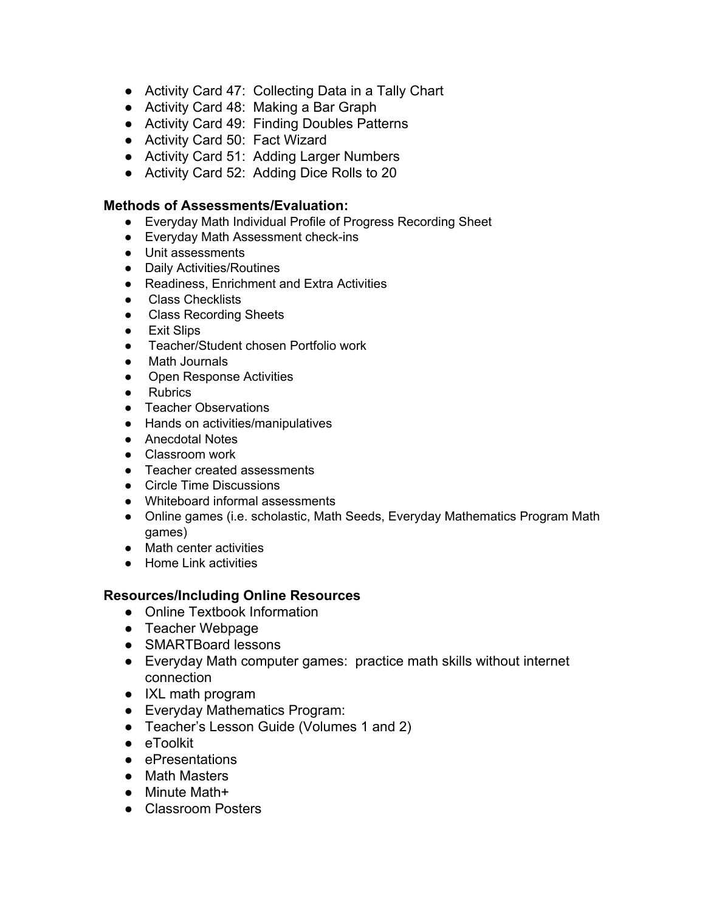- Activity Card 47: Collecting Data in a Tally Chart
- Activity Card 48: Making a Bar Graph
- Activity Card 49: Finding Doubles Patterns
- Activity Card 50: Fact Wizard
- Activity Card 51: Adding Larger Numbers
- Activity Card 52: Adding Dice Rolls to 20

#### **Methods of Assessments/Evaluation:**

- Everyday Math Individual Profile of Progress Recording Sheet
- Everyday Math Assessment check-ins
- Unit assessments
- Daily Activities/Routines
- Readiness, Enrichment and Extra Activities
- Class Checklists
- Class Recording Sheets
- Exit Slips
- Teacher/Student chosen Portfolio work
- Math Journals
- Open Response Activities
- Rubrics
- Teacher Observations
- Hands on activities/manipulatives
- Anecdotal Notes
- Classroom work
- Teacher created assessments
- Circle Time Discussions
- Whiteboard informal assessments
- Online games (i.e. scholastic, Math Seeds, Everyday Mathematics Program Math games)
- Math center activities
- Home Link activities

- Online Textbook Information
- Teacher Webpage
- SMARTBoard lessons
- Everyday Math computer games: practice math skills without internet connection
- IXL math program
- Everyday Mathematics Program:
- Teacher's Lesson Guide (Volumes 1 and 2)
- eToolkit
- ePresentations
- Math Masters
- Minute Math+
- Classroom Posters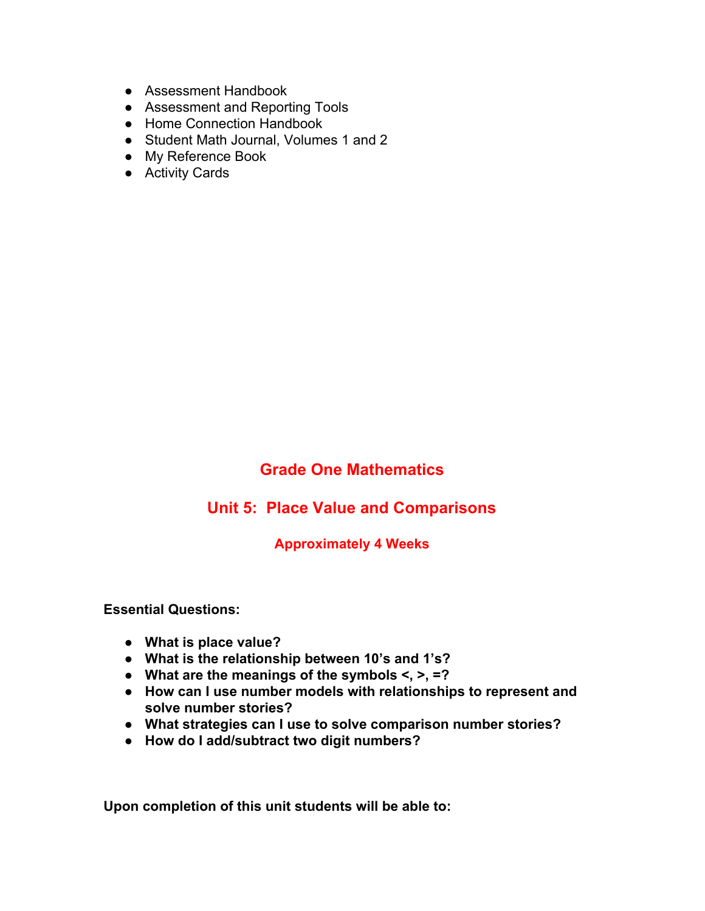- Assessment Handbook
- Assessment and Reporting Tools
- Home Connection Handbook
- Student Math Journal, Volumes 1 and 2
- My Reference Book
- Activity Cards

## **Unit 5: Place Value and Comparisons**

#### **Approximately 4 Weeks**

**Essential Questions:**

- **● What is place value?**
- **● What is the relationship between 10's and 1's?**
- **● What are the meanings of the symbols <, >, =?**
- **● How can I use number models with relationships to represent and solve number stories?**
- **● What strategies can I use to solve comparison number stories?**
- **● How do I add/subtract two digit numbers?**

**Upon completion of this unit students will be able to:**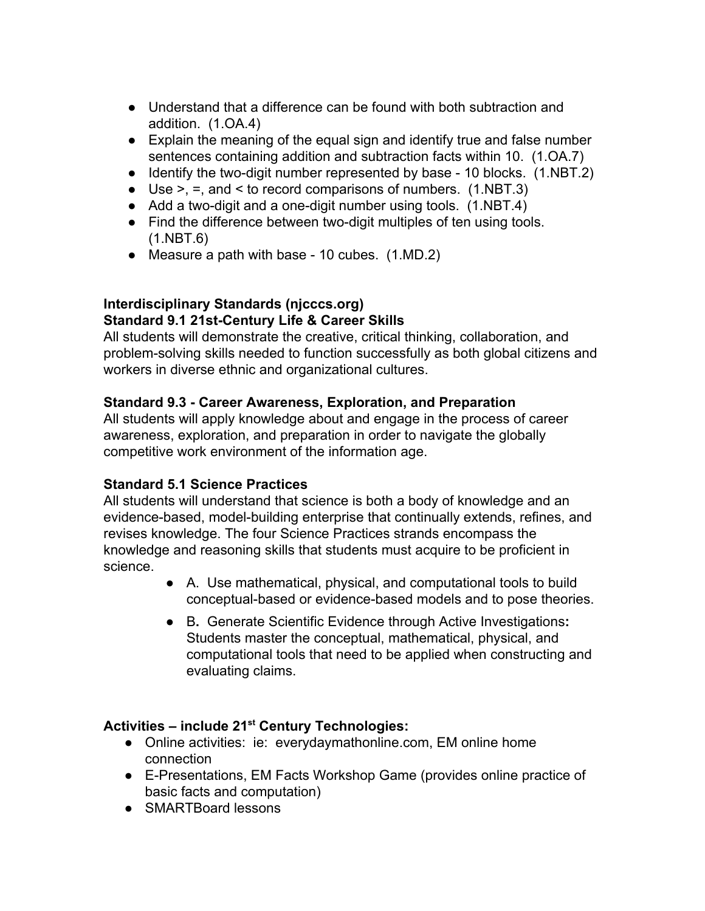- Understand that a difference can be found with both subtraction and addition. (1.OA.4)
- Explain the meaning of the equal sign and identify true and false number sentences containing addition and subtraction facts within 10. (1.OA.7)
- Identify the two-digit number represented by base 10 blocks. (1.NBT.2)
- $\bullet$  Use >, =, and < to record comparisons of numbers. (1.NBT.3)
- Add a two-digit and a one-digit number using tools. (1.NBT.4)
- Find the difference between two-digit multiples of ten using tools. (1.NBT.6)
- Measure a path with base 10 cubes. (1.MD.2)

#### **Interdisciplinary Standards (njcccs.org) Standard 9.1 21st-Century Life & Career Skills**

All students will demonstrate the creative, critical thinking, collaboration, and problem-solving skills needed to function successfully as both global citizens and workers in diverse ethnic and organizational cultures.

## **Standard 9.3 - Career Awareness, Exploration, and Preparation**

All students will apply knowledge about and engage in the process of career awareness, exploration, and preparation in order to navigate the globally competitive work environment of the information age.

## **Standard 5.1 Science Practices**

All students will understand that science is both a body of knowledge and an evidence-based, model-building enterprise that continually extends, refines, and revises knowledge. The four Science Practices strands encompass the knowledge and reasoning skills that students must acquire to be proficient in science.

- A. Use mathematical, physical, and computational tools to build conceptual-based or evidence-based models and to pose theories.
- B**.** Generate Scientific Evidence through Active Investigations**:** Students master the conceptual, mathematical, physical, and computational tools that need to be applied when constructing and evaluating claims.

# **Activities – include 21 st Century Technologies:**

- Online activities: ie: everydaymathonline.com, EM online home connection
- E-Presentations, EM Facts Workshop Game (provides online practice of basic facts and computation)
- SMARTBoard lessons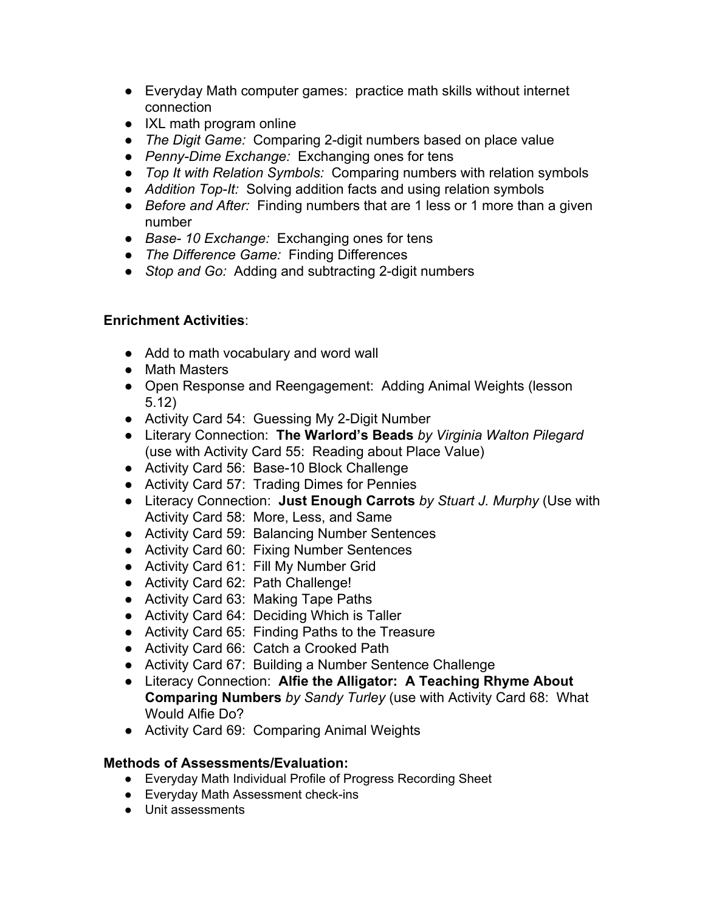- Everyday Math computer games: practice math skills without internet connection
- IXL math program online
- *● The Digit Game:* Comparing 2-digit numbers based on place value
- *● Penny-Dime Exchange:* Exchanging ones for tens
- *● Top It with Relation Symbols:* Comparing numbers with relation symbols
- *● Addition Top-It:* Solving addition facts and using relation symbols
- *● Before and After:* Finding numbers that are 1 less or 1 more than a given number
- *● Base- 10 Exchange:* Exchanging ones for tens
- *● The Difference Game:* Finding Differences
- *● Stop and Go:* Adding and subtracting 2-digit numbers

## **Enrichment Activities**:

- Add to math vocabulary and word wall
- Math Masters
- Open Response and Reengagement: Adding Animal Weights (lesson 5.12)
- Activity Card 54: Guessing My 2-Digit Number
- Literary Connection: **The Warlord's Beads** *by Virginia Walton Pilegard* (use with Activity Card 55: Reading about Place Value)
- Activity Card 56: Base-10 Block Challenge
- Activity Card 57: Trading Dimes for Pennies
- Literacy Connection: **Just Enough Carrots** *by Stuart J. Murphy* (Use with Activity Card 58: More, Less, and Same
- Activity Card 59: Balancing Number Sentences
- Activity Card 60: Fixing Number Sentences
- Activity Card 61: Fill My Number Grid
- Activity Card 62: Path Challenge!
- Activity Card 63: Making Tape Paths
- Activity Card 64: Deciding Which is Taller
- Activity Card 65: Finding Paths to the Treasure
- Activity Card 66: Catch a Crooked Path
- Activity Card 67: Building a Number Sentence Challenge
- Literacy Connection: **Alfie the Alligator: A Teaching Rhyme About Comparing Numbers** *by Sandy Turley* (use with Activity Card 68: What Would Alfie Do?
- Activity Card 69: Comparing Animal Weights

## **Methods of Assessments/Evaluation:**

- Everyday Math Individual Profile of Progress Recording Sheet
- Everyday Math Assessment check-ins
- Unit assessments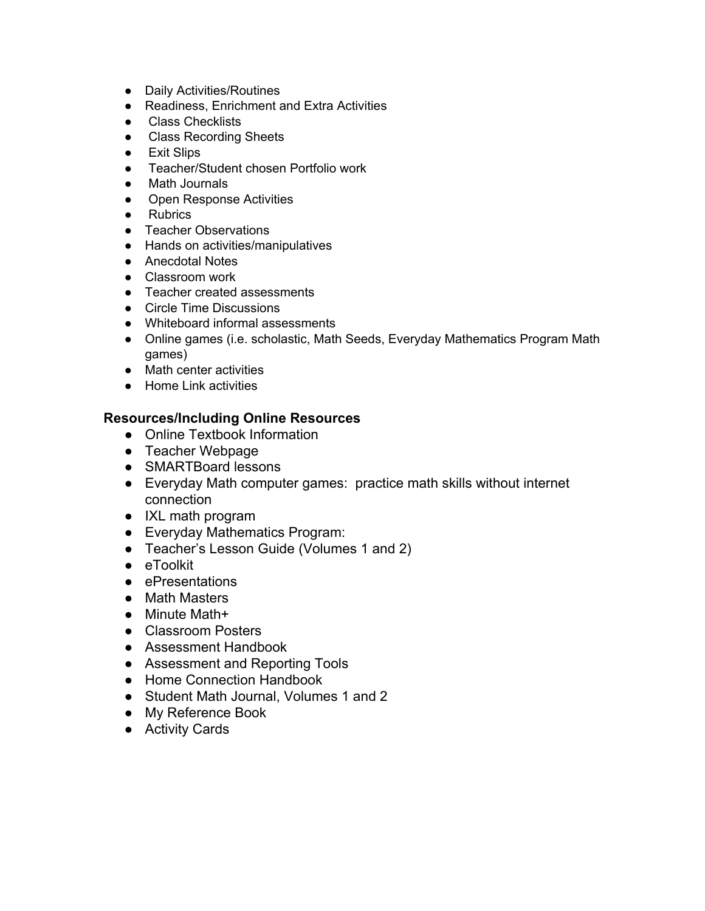- Daily Activities/Routines
- Readiness, Enrichment and Extra Activities
- Class Checklists
- Class Recording Sheets
- Exit Slips
- Teacher/Student chosen Portfolio work
- Math Journals
- Open Response Activities
- Rubrics
- Teacher Observations
- Hands on activities/manipulatives
- Anecdotal Notes
- Classroom work
- Teacher created assessments
- Circle Time Discussions
- Whiteboard informal assessments
- Online games (i.e. scholastic, Math Seeds, Everyday Mathematics Program Math games)
- Math center activities
- Home Link activities

- Online Textbook Information
- Teacher Webpage
- SMARTBoard lessons
- Everyday Math computer games: practice math skills without internet connection
- IXL math program
- Everyday Mathematics Program:
- Teacher's Lesson Guide (Volumes 1 and 2)
- eToolkit
- ePresentations
- Math Masters
- Minute Math+
- Classroom Posters
- Assessment Handbook
- Assessment and Reporting Tools
- Home Connection Handbook
- Student Math Journal, Volumes 1 and 2
- My Reference Book
- Activity Cards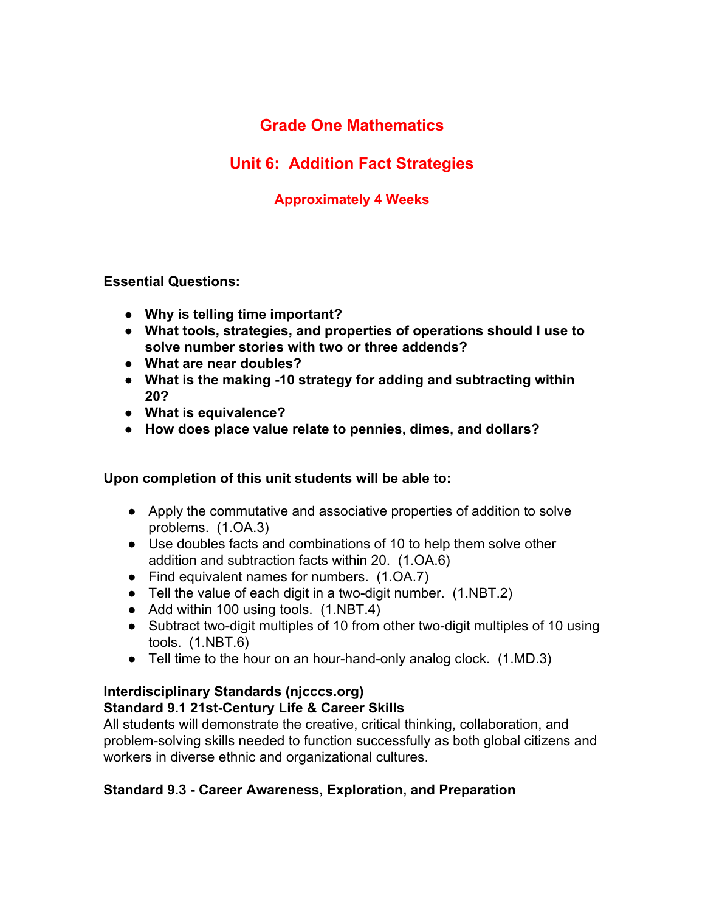# **Unit 6: Addition Fact Strategies**

## **Approximately 4 Weeks**

#### **Essential Questions:**

- **● Why is telling time important?**
- **● What tools, strategies, and properties of operations should I use to solve number stories with two or three addends?**
- **● What are near doubles?**
- **● What is the making -10 strategy for adding and subtracting within 20?**
- **● What is equivalence?**
- **● How does place value relate to pennies, dimes, and dollars?**

#### **Upon completion of this unit students will be able to:**

- Apply the commutative and associative properties of addition to solve problems. (1.OA.3)
- Use doubles facts and combinations of 10 to help them solve other addition and subtraction facts within 20. (1.OA.6)
- Find equivalent names for numbers. (1.OA.7)
- Tell the value of each digit in a two-digit number.  $(1.NBT.2)$
- Add within 100 using tools. (1.NBT.4)
- Subtract two-digit multiples of 10 from other two-digit multiples of 10 using tools. (1.NBT.6)
- Tell time to the hour on an hour-hand-only analog clock. (1.MD.3)

## **Interdisciplinary Standards (njcccs.org) Standard 9.1 21st-Century Life & Career Skills**

All students will demonstrate the creative, critical thinking, collaboration, and problem-solving skills needed to function successfully as both global citizens and workers in diverse ethnic and organizational cultures.

## **Standard 9.3 - Career Awareness, Exploration, and Preparation**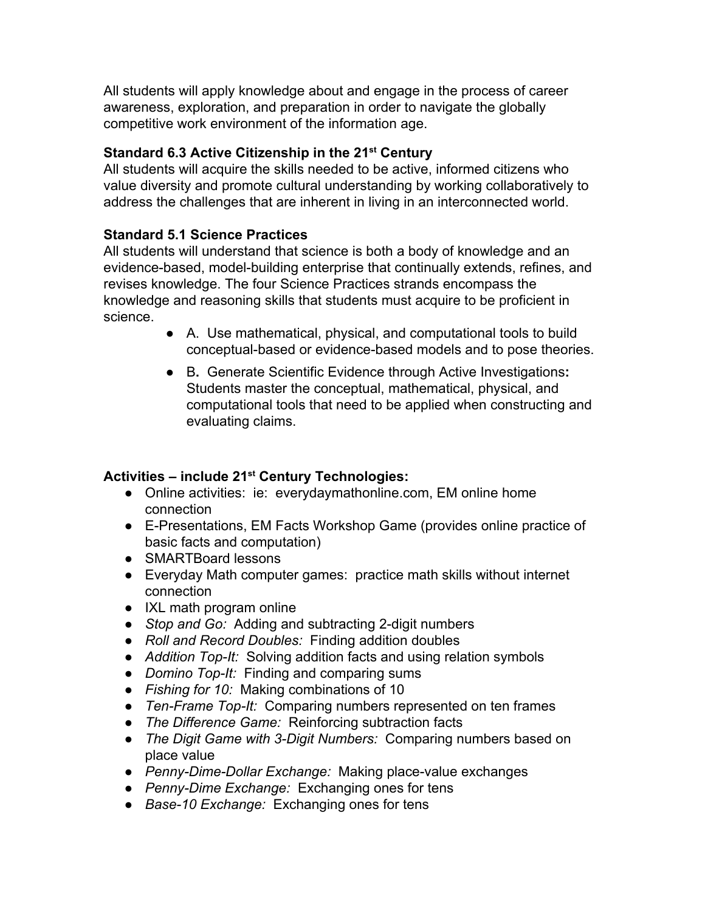All students will apply knowledge about and engage in the process of career awareness, exploration, and preparation in order to navigate the globally competitive work environment of the information age.

## **Standard 6.3 Active Citizenship in the 21 st Century**

All students will acquire the skills needed to be active, informed citizens who value diversity and promote cultural understanding by working collaboratively to address the challenges that are inherent in living in an interconnected world.

## **Standard 5.1 Science Practices**

All students will understand that science is both a body of knowledge and an evidence-based, model-building enterprise that continually extends, refines, and revises knowledge. The four Science Practices strands encompass the knowledge and reasoning skills that students must acquire to be proficient in science.

- A. Use mathematical, physical, and computational tools to build conceptual-based or evidence-based models and to pose theories.
- B**.** Generate Scientific Evidence through Active Investigations**:** Students master the conceptual, mathematical, physical, and computational tools that need to be applied when constructing and evaluating claims.

# **Activities – include 21 st Century Technologies:**

- Online activities: ie: everydaymathonline.com, EM online home connection
- E-Presentations, EM Facts Workshop Game (provides online practice of basic facts and computation)
- SMARTBoard lessons
- Everyday Math computer games: practice math skills without internet connection
- IXL math program online
- *● Stop and Go:* Adding and subtracting 2-digit numbers
- *● Roll and Record Doubles:* Finding addition doubles
- *● Addition Top-It:* Solving addition facts and using relation symbols
- *● Domino Top-It:* Finding and comparing sums
- *● Fishing for 10:* Making combinations of 10
- *● Ten-Frame Top-It:* Comparing numbers represented on ten frames
- *● The Difference Game:* Reinforcing subtraction facts
- *● The Digit Game with 3-Digit Numbers:* Comparing numbers based on place value
- *● Penny-Dime-Dollar Exchange:* Making place-value exchanges
- *● Penny-Dime Exchange:* Exchanging ones for tens
- *● Base-10 Exchange:* Exchanging ones for tens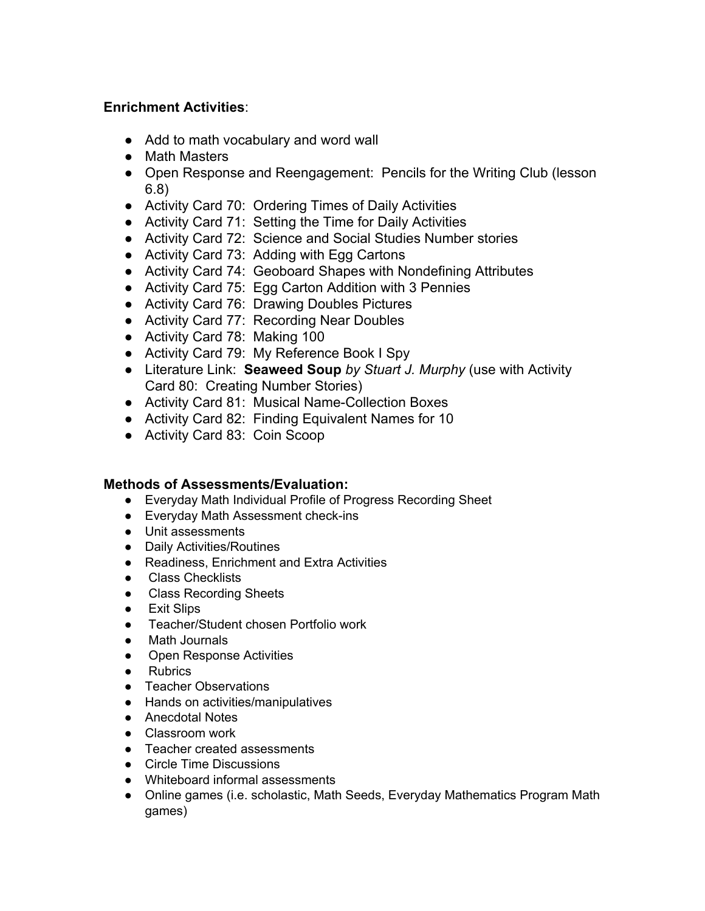### **Enrichment Activities**:

- Add to math vocabulary and word wall
- Math Masters
- Open Response and Reengagement: Pencils for the Writing Club (lesson 6.8)
- Activity Card 70: Ordering Times of Daily Activities
- Activity Card 71: Setting the Time for Daily Activities
- Activity Card 72: Science and Social Studies Number stories
- Activity Card 73: Adding with Egg Cartons
- Activity Card 74: Geoboard Shapes with Nondefining Attributes
- Activity Card 75: Egg Carton Addition with 3 Pennies
- Activity Card 76: Drawing Doubles Pictures
- Activity Card 77: Recording Near Doubles
- Activity Card 78: Making 100
- Activity Card 79: My Reference Book I Spy
- Literature Link: **Seaweed Soup** *by Stuart J. Murphy* (use with Activity Card 80: Creating Number Stories)
- Activity Card 81: Musical Name-Collection Boxes
- Activity Card 82: Finding Equivalent Names for 10
- Activity Card 83: Coin Scoop

#### **Methods of Assessments/Evaluation:**

- Everyday Math Individual Profile of Progress Recording Sheet
- Everyday Math Assessment check-ins
- Unit assessments
- Daily Activities/Routines
- Readiness, Enrichment and Extra Activities
- Class Checklists
- Class Recording Sheets
- Exit Slips
- Teacher/Student chosen Portfolio work
- Math Journals
- Open Response Activities
- Rubrics
- Teacher Observations
- Hands on activities/manipulatives
- Anecdotal Notes
- Classroom work
- Teacher created assessments
- Circle Time Discussions
- Whiteboard informal assessments
- Online games (i.e. scholastic, Math Seeds, Everyday Mathematics Program Math games)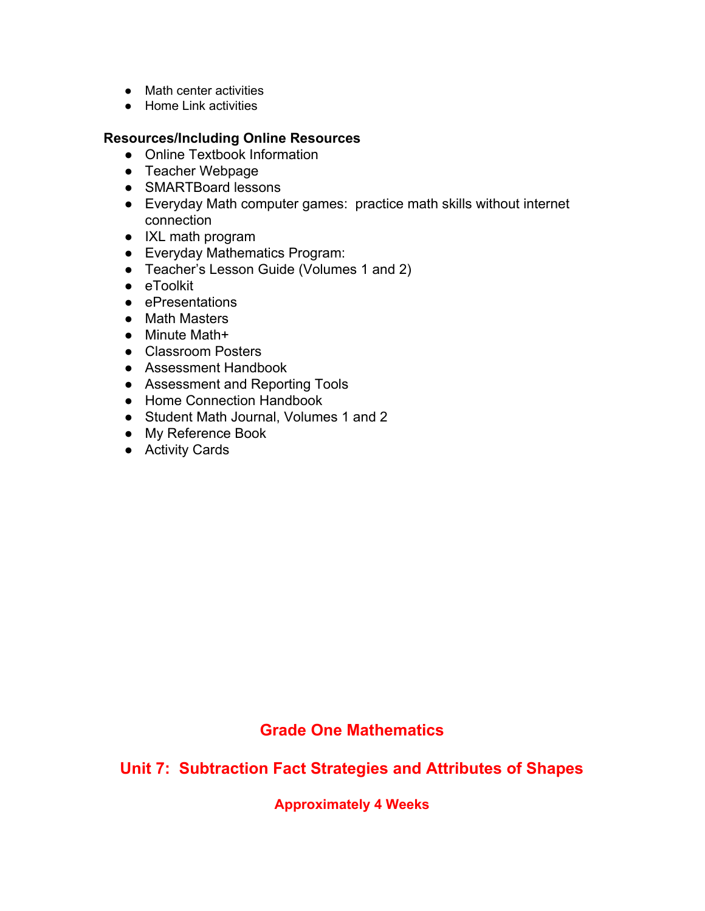- Math center activities
- Home Link activities

#### **Resources/Including Online Resources**

- Online Textbook Information
- Teacher Webpage
- SMARTBoard lessons
- Everyday Math computer games: practice math skills without internet connection
- IXL math program
- Everyday Mathematics Program:
- Teacher's Lesson Guide (Volumes 1 and 2)
- eToolkit
- ePresentations
- Math Masters
- Minute Math+
- Classroom Posters
- Assessment Handbook
- Assessment and Reporting Tools
- Home Connection Handbook
- Student Math Journal, Volumes 1 and 2
- My Reference Book
- Activity Cards

## **Grade One Mathematics**

**Unit 7: Subtraction Fact Strategies and Attributes of Shapes**

**Approximately 4 Weeks**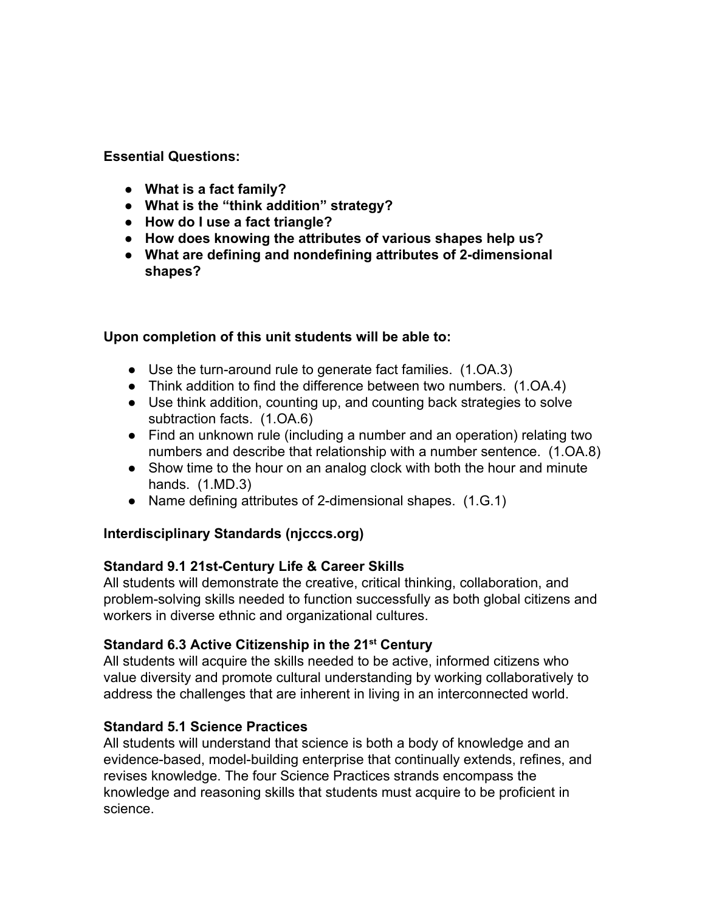**Essential Questions:**

- **● What is a fact family?**
- **● What is the "think addition" strategy?**
- **● How do I use a fact triangle?**
- **● How does knowing the attributes of various shapes help us?**
- **● What are defining and nondefining attributes of 2-dimensional shapes?**

## **Upon completion of this unit students will be able to:**

- Use the turn-around rule to generate fact families. (1.OA.3)
- Think addition to find the difference between two numbers. (1.OA.4)
- Use think addition, counting up, and counting back strategies to solve subtraction facts. (1.OA.6)
- Find an unknown rule (including a number and an operation) relating two numbers and describe that relationship with a number sentence. (1.OA.8)
- Show time to the hour on an analog clock with both the hour and minute hands. (1.MD.3)
- Name defining attributes of 2-dimensional shapes. (1.G.1)

## **Interdisciplinary Standards (njcccs.org)**

## **Standard 9.1 21st-Century Life & Career Skills**

All students will demonstrate the creative, critical thinking, collaboration, and problem-solving skills needed to function successfully as both global citizens and workers in diverse ethnic and organizational cultures.

## **Standard 6.3 Active Citizenship in the 21 st Century**

All students will acquire the skills needed to be active, informed citizens who value diversity and promote cultural understanding by working collaboratively to address the challenges that are inherent in living in an interconnected world.

## **Standard 5.1 Science Practices**

All students will understand that science is both a body of knowledge and an evidence-based, model-building enterprise that continually extends, refines, and revises knowledge. The four Science Practices strands encompass the knowledge and reasoning skills that students must acquire to be proficient in science.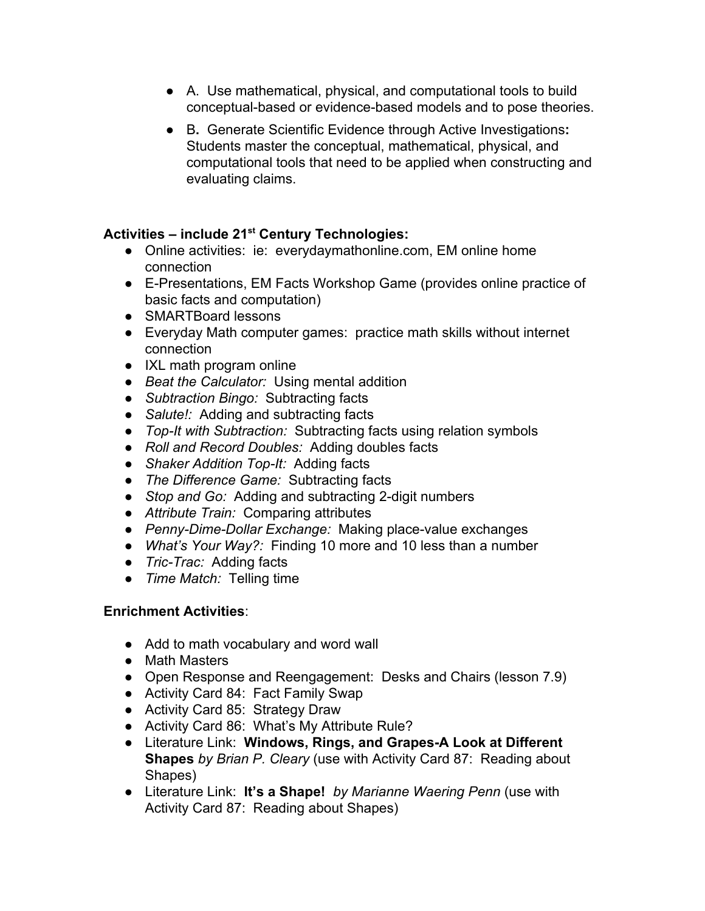- A. Use mathematical, physical, and computational tools to build conceptual-based or evidence-based models and to pose theories.
- B**.** Generate Scientific Evidence through Active Investigations**:** Students master the conceptual, mathematical, physical, and computational tools that need to be applied when constructing and evaluating claims.

# **Activities – include 21 st Century Technologies:**

- Online activities: ie: everydaymathonline.com, EM online home connection
- E-Presentations, EM Facts Workshop Game (provides online practice of basic facts and computation)
- SMARTBoard lessons
- Everyday Math computer games: practice math skills without internet connection
- IXL math program online
- *● Beat the Calculator:* Using mental addition
- *● Subtraction Bingo:* Subtracting facts
- *● Salute!:* Adding and subtracting facts
- *● Top-It with Subtraction:* Subtracting facts using relation symbols
- *● Roll and Record Doubles:* Adding doubles facts
- *● Shaker Addition Top-It:* Adding facts
- *● The Difference Game:* Subtracting facts
- *● Stop and Go:* Adding and subtracting 2-digit numbers
- *● Attribute Train:* Comparing attributes
- *● Penny-Dime-Dollar Exchange:* Making place-value exchanges
- *● What's Your Way?:* Finding 10 more and 10 less than a number
- *● Tric-Trac:* Adding facts
- *● Time Match:* Telling time

## **Enrichment Activities**:

- Add to math vocabulary and word wall
- Math Masters
- Open Response and Reengagement: Desks and Chairs (lesson 7.9)
- Activity Card 84: Fact Family Swap
- Activity Card 85: Strategy Draw
- Activity Card 86: What's My Attribute Rule?
- Literature Link: **Windows, Rings, and Grapes-A Look at Different Shapes** *by Brian P. Cleary* (use with Activity Card 87: Reading about Shapes)
- Literature Link: **It's a Shape!** *by Marianne Waering Penn* (use with Activity Card 87: Reading about Shapes)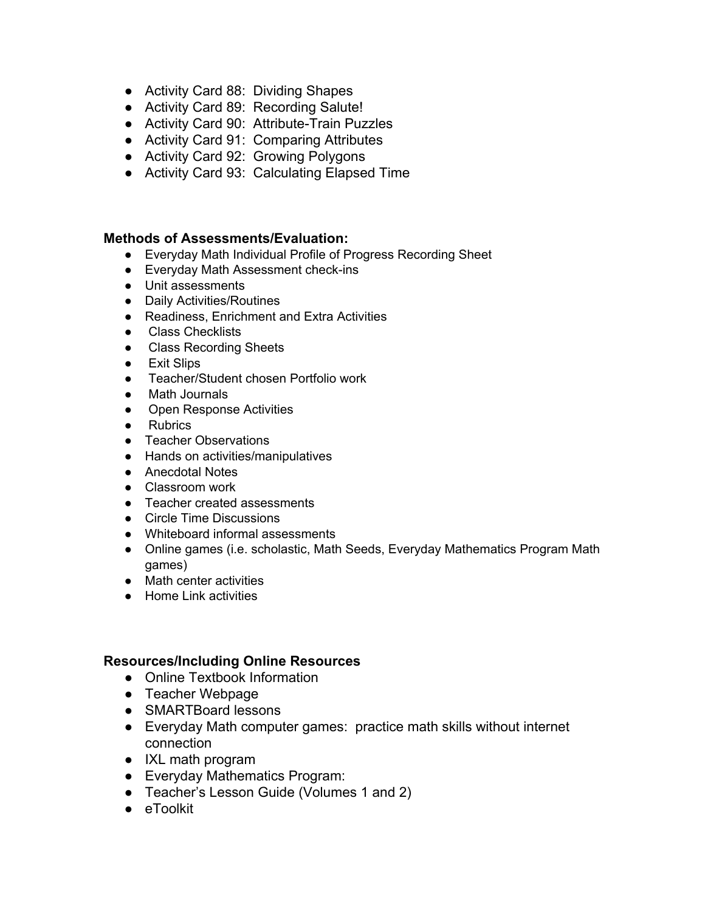- Activity Card 88: Dividing Shapes
- Activity Card 89: Recording Salute!
- Activity Card 90: Attribute-Train Puzzles
- Activity Card 91: Comparing Attributes
- Activity Card 92: Growing Polygons
- Activity Card 93: Calculating Elapsed Time

#### **Methods of Assessments/Evaluation:**

- Everyday Math Individual Profile of Progress Recording Sheet
- Everyday Math Assessment check-ins
- Unit assessments
- Daily Activities/Routines
- Readiness, Enrichment and Extra Activities
- Class Checklists
- Class Recording Sheets
- Exit Slips
- Teacher/Student chosen Portfolio work
- Math Journals
- Open Response Activities
- Rubrics
- Teacher Observations
- Hands on activities/manipulatives
- Anecdotal Notes
- Classroom work
- Teacher created assessments
- Circle Time Discussions
- Whiteboard informal assessments
- Online games (i.e. scholastic, Math Seeds, Everyday Mathematics Program Math games)
- Math center activities
- Home Link activities

- Online Textbook Information
- Teacher Webpage
- SMARTBoard lessons
- Everyday Math computer games: practice math skills without internet connection
- IXL math program
- Everyday Mathematics Program:
- Teacher's Lesson Guide (Volumes 1 and 2)
- eToolkit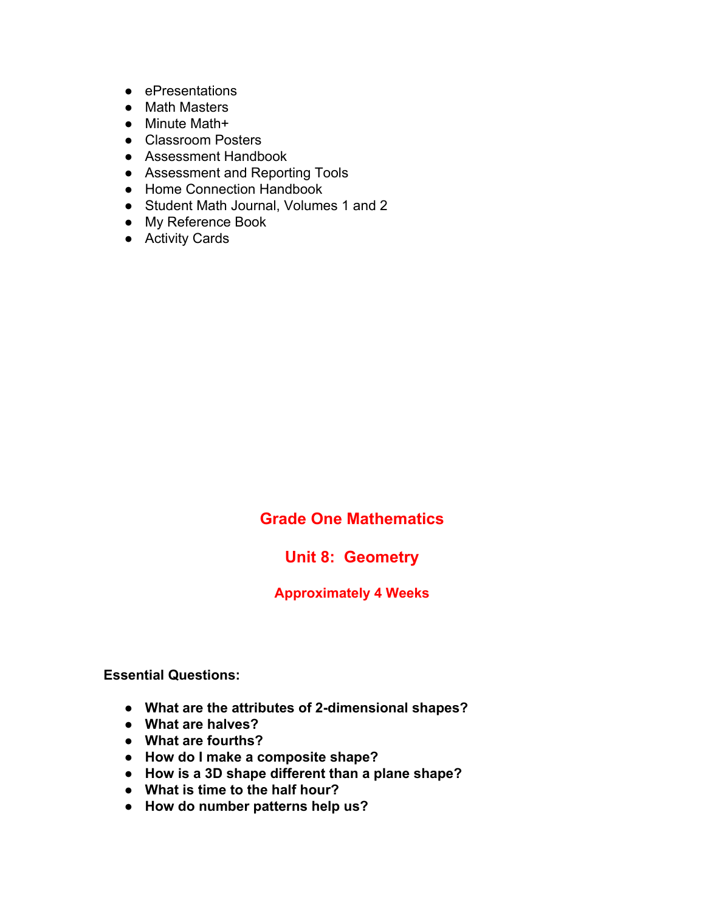- ePresentations
- Math Masters
- Minute Math+
- Classroom Posters
- Assessment Handbook
- Assessment and Reporting Tools
- Home Connection Handbook
- Student Math Journal, Volumes 1 and 2
- My Reference Book
- Activity Cards

## **Unit 8: Geometry**

#### **Approximately 4 Weeks**

**Essential Questions:**

- **● What are the attributes of 2-dimensional shapes?**
- **● What are halves?**
- **● What are fourths?**
- **● How do I make a composite shape?**
- **● How is a 3D shape different than a plane shape?**
- **● What is time to the half hour?**
- **● How do number patterns help us?**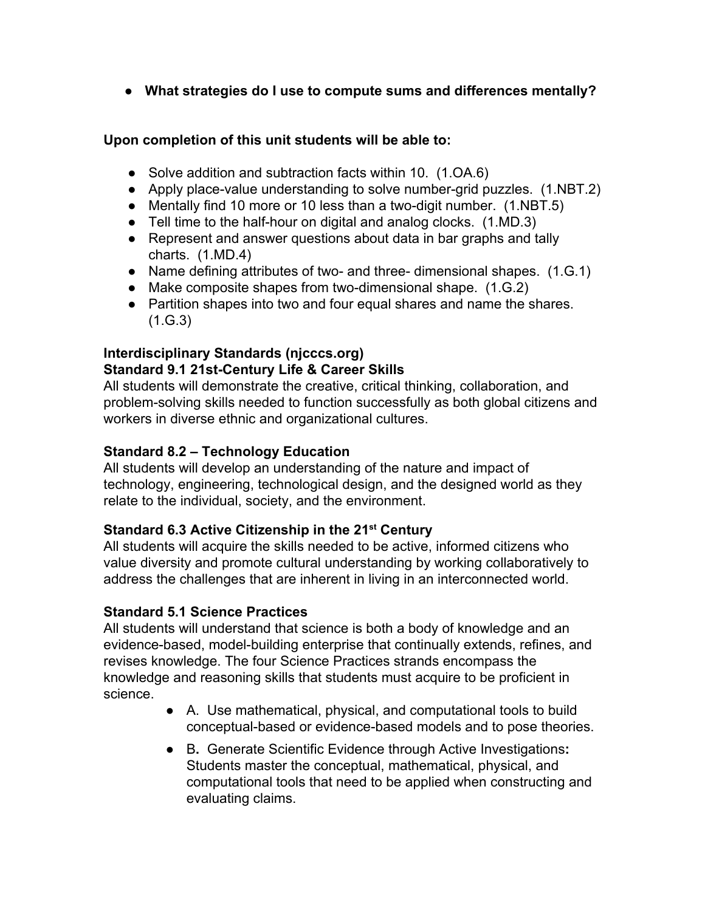**● What strategies do I use to compute sums and differences mentally?**

## **Upon completion of this unit students will be able to:**

- Solve addition and subtraction facts within 10. (1.OA.6)
- Apply place-value understanding to solve number-grid puzzles. (1.NBT.2)
- Mentally find 10 more or 10 less than a two-digit number. (1.NBT.5)
- Tell time to the half-hour on digital and analog clocks. (1.MD.3)
- Represent and answer questions about data in bar graphs and tally charts. (1.MD.4)
- Name defining attributes of two- and three- dimensional shapes. (1.G.1)
- Make composite shapes from two-dimensional shape. (1.G.2)
- Partition shapes into two and four equal shares and name the shares. (1.G.3)

## **Interdisciplinary Standards (njcccs.org) Standard 9.1 21st-Century Life & Career Skills**

All students will demonstrate the creative, critical thinking, collaboration, and problem-solving skills needed to function successfully as both global citizens and workers in diverse ethnic and organizational cultures.

## **Standard 8.2 – Technology Education**

All students will develop an understanding of the nature and impact of technology, engineering, technological design, and the designed world as they relate to the individual, society, and the environment.

## **Standard 6.3 Active Citizenship in the 21 st Century**

All students will acquire the skills needed to be active, informed citizens who value diversity and promote cultural understanding by working collaboratively to address the challenges that are inherent in living in an interconnected world.

## **Standard 5.1 Science Practices**

All students will understand that science is both a body of knowledge and an evidence-based, model-building enterprise that continually extends, refines, and revises knowledge. The four Science Practices strands encompass the knowledge and reasoning skills that students must acquire to be proficient in science.

- A. Use mathematical, physical, and computational tools to build conceptual-based or evidence-based models and to pose theories.
- B**.** Generate Scientific Evidence through Active Investigations**:** Students master the conceptual, mathematical, physical, and computational tools that need to be applied when constructing and evaluating claims.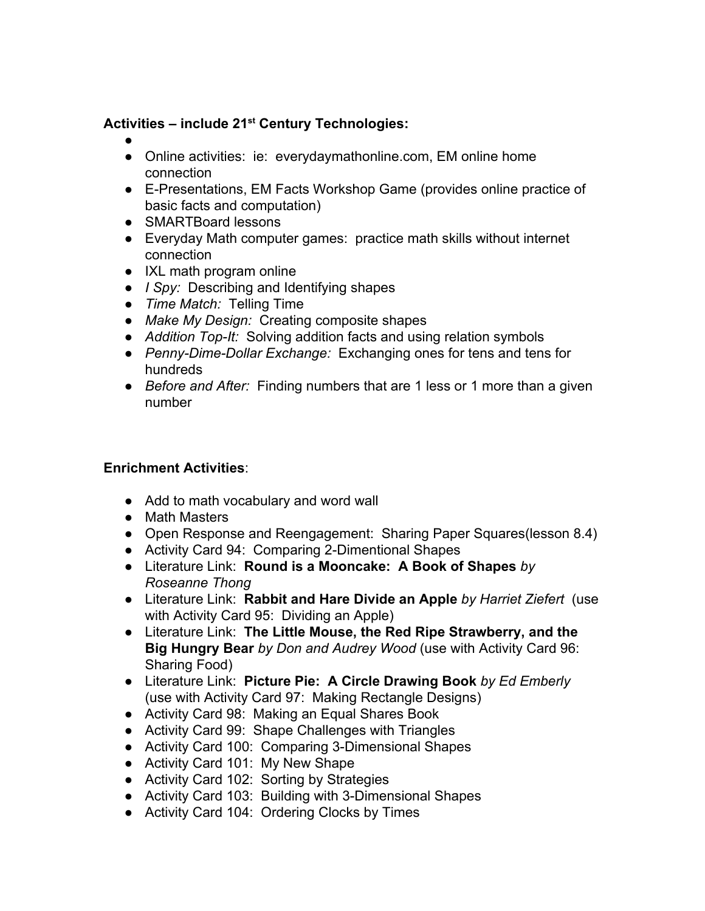# **Activities – include 21 st Century Technologies:**

- ●
- Online activities: ie: everydaymathonline.com, EM online home connection
- E-Presentations, EM Facts Workshop Game (provides online practice of basic facts and computation)
- SMARTBoard lessons
- Everyday Math computer games: practice math skills without internet connection
- IXL math program online
- *● I Spy:* Describing and Identifying shapes
- *● Time Match:* Telling Time
- *● Make My Design:* Creating composite shapes
- *● Addition Top-It:* Solving addition facts and using relation symbols
- *● Penny-Dime-Dollar Exchange:* Exchanging ones for tens and tens for hundreds
- *● Before and After:* Finding numbers that are 1 less or 1 more than a given number

## **Enrichment Activities**:

- Add to math vocabulary and word wall
- Math Masters
- Open Response and Reengagement: Sharing Paper Squares(lesson 8.4)
- Activity Card 94: Comparing 2-Dimentional Shapes
- Literature Link: **Round is a Mooncake: A Book of Shapes** *by Roseanne Thong*
- Literature Link: **Rabbit and Hare Divide an Apple** *by Harriet Ziefert* (use with Activity Card 95: Dividing an Apple)
- Literature Link: **The Little Mouse, the Red Ripe Strawberry, and the Big Hungry Bear** *by Don and Audrey Wood* (use with Activity Card 96: Sharing Food)
- Literature Link: **Picture Pie: A Circle Drawing Book** *by Ed Emberly* (use with Activity Card 97: Making Rectangle Designs)
- Activity Card 98: Making an Equal Shares Book
- Activity Card 99: Shape Challenges with Triangles
- Activity Card 100: Comparing 3-Dimensional Shapes
- Activity Card 101: My New Shape
- Activity Card 102: Sorting by Strategies
- Activity Card 103: Building with 3-Dimensional Shapes
- Activity Card 104: Ordering Clocks by Times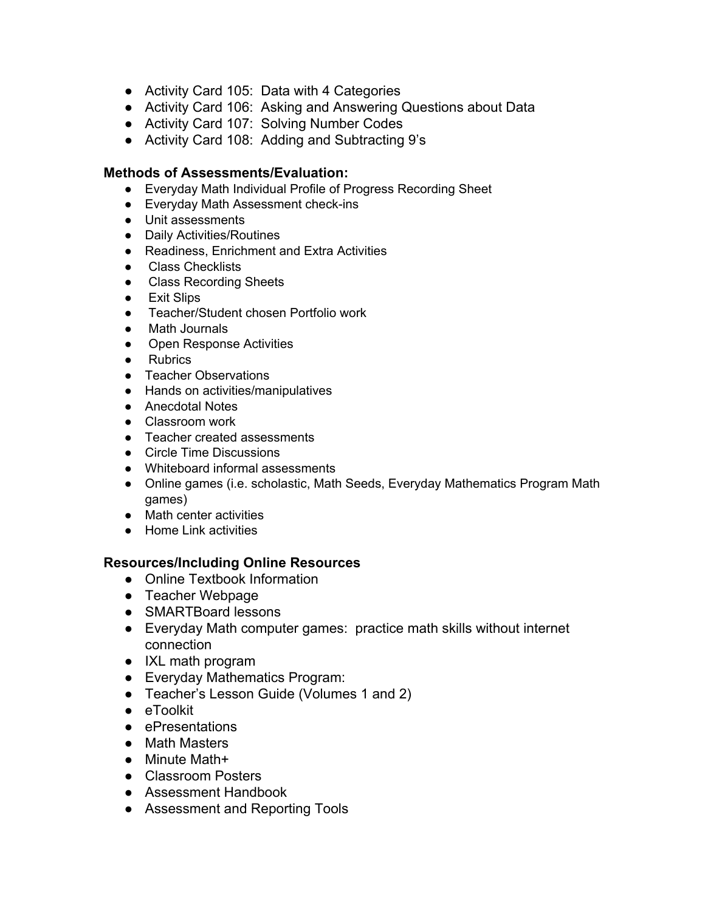- Activity Card 105: Data with 4 Categories
- Activity Card 106: Asking and Answering Questions about Data
- Activity Card 107: Solving Number Codes
- Activity Card 108: Adding and Subtracting 9's

#### **Methods of Assessments/Evaluation:**

- Everyday Math Individual Profile of Progress Recording Sheet
- Everyday Math Assessment check-ins
- Unit assessments
- Daily Activities/Routines
- Readiness, Enrichment and Extra Activities
- Class Checklists
- Class Recording Sheets
- Exit Slips
- Teacher/Student chosen Portfolio work
- **Math Journals**
- Open Response Activities
- Rubrics
- Teacher Observations
- Hands on activities/manipulatives
- Anecdotal Notes
- Classroom work
- Teacher created assessments
- Circle Time Discussions
- Whiteboard informal assessments
- Online games (i.e. scholastic, Math Seeds, Everyday Mathematics Program Math games)
- Math center activities
- Home Link activities

- Online Textbook Information
- Teacher Webpage
- SMARTBoard lessons
- Everyday Math computer games: practice math skills without internet connection
- IXL math program
- Everyday Mathematics Program:
- Teacher's Lesson Guide (Volumes 1 and 2)
- eToolkit
- ePresentations
- Math Masters
- Minute Math+
- Classroom Posters
- Assessment Handbook
- Assessment and Reporting Tools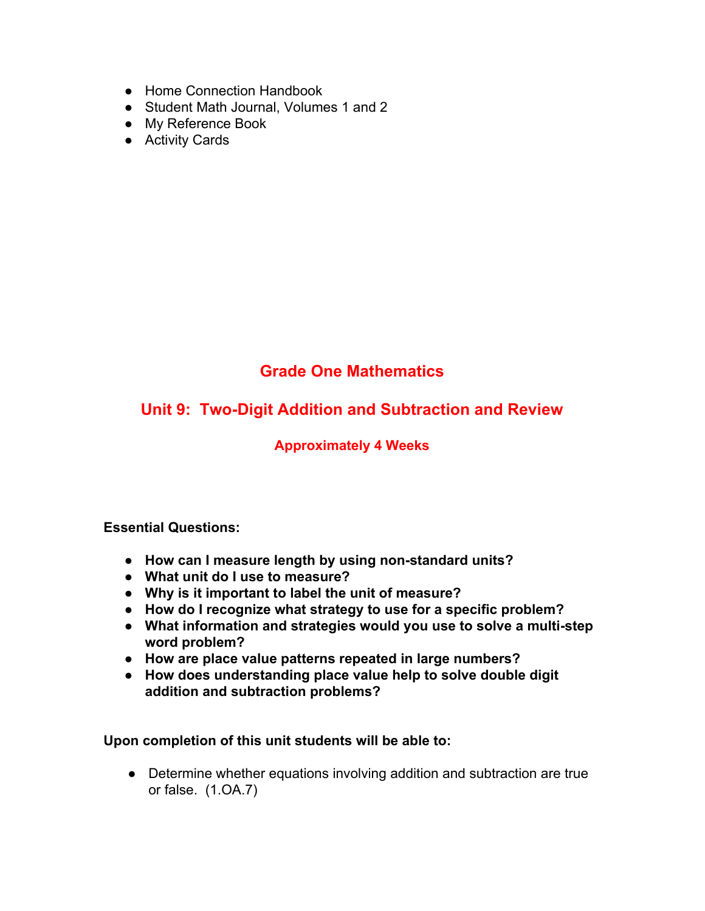- Home Connection Handbook
- Student Math Journal, Volumes 1 and 2
- My Reference Book
- Activity Cards

## **Unit 9: Two-Digit Addition and Subtraction and Review**

## **Approximately 4 Weeks**

#### **Essential Questions:**

- **● How can I measure length by using non-standard units?**
- **● What unit do I use to measure?**
- **● Why is it important to label the unit of measure?**
- **● How do I recognize what strategy to use for a specific problem?**
- **● What information and strategies would you use to solve a multi-step word problem?**
- **● How are place value patterns repeated in large numbers?**
- **● How does understanding place value help to solve double digit addition and subtraction problems?**

**Upon completion of this unit students will be able to:**

● Determine whether equations involving addition and subtraction are true or false. (1.OA.7)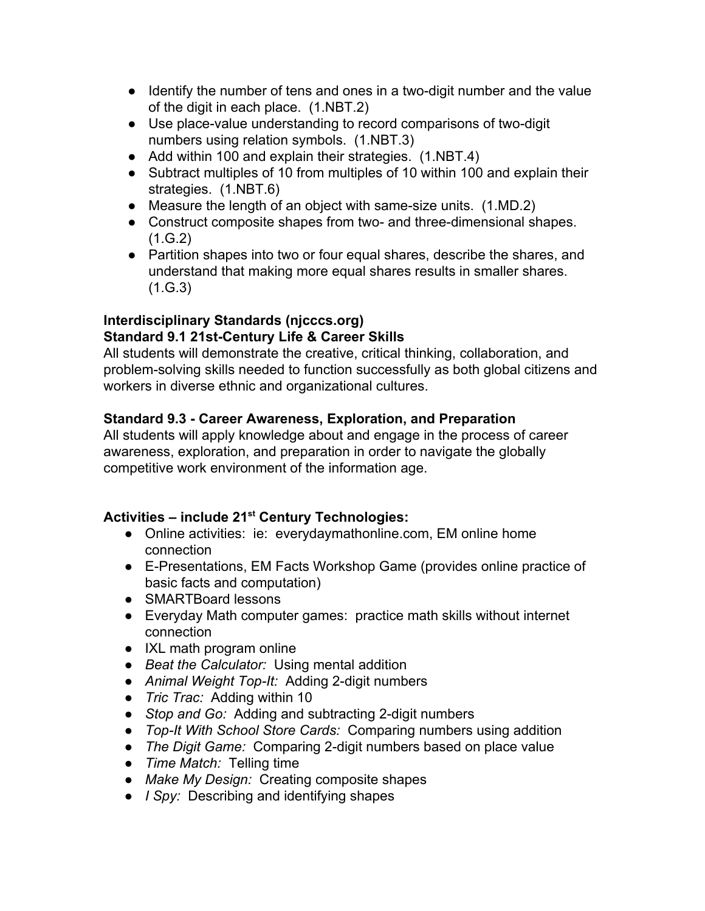- Identify the number of tens and ones in a two-digit number and the value of the digit in each place. (1.NBT.2)
- Use place-value understanding to record comparisons of two-digit numbers using relation symbols. (1.NBT.3)
- Add within 100 and explain their strategies. (1.NBT.4)
- Subtract multiples of 10 from multiples of 10 within 100 and explain their strategies. (1.NBT.6)
- Measure the length of an object with same-size units. (1.MD.2)
- Construct composite shapes from two- and three-dimensional shapes.  $(1.G.2)$
- Partition shapes into two or four equal shares, describe the shares, and understand that making more equal shares results in smaller shares.  $(1.G.3)$

#### **Interdisciplinary Standards (njcccs.org) Standard 9.1 21st-Century Life & Career Skills**

All students will demonstrate the creative, critical thinking, collaboration, and problem-solving skills needed to function successfully as both global citizens and workers in diverse ethnic and organizational cultures.

## **Standard 9.3 - Career Awareness, Exploration, and Preparation**

All students will apply knowledge about and engage in the process of career awareness, exploration, and preparation in order to navigate the globally competitive work environment of the information age.

# **Activities – include 21 st Century Technologies:**

- Online activities: ie: everydaymathonline.com, EM online home connection
- E-Presentations, EM Facts Workshop Game (provides online practice of basic facts and computation)
- SMARTBoard lessons
- Everyday Math computer games: practice math skills without internet connection
- IXL math program online
- *● Beat the Calculator:* Using mental addition
- *● Animal Weight Top-It:* Adding 2-digit numbers
- *● Tric Trac:* Adding within 10
- *● Stop and Go:* Adding and subtracting 2-digit numbers
- *● Top-It With School Store Cards:* Comparing numbers using addition
- *● The Digit Game:* Comparing 2-digit numbers based on place value
- *● Time Match:* Telling time
- *● Make My Design:* Creating composite shapes
- *● I Spy:* Describing and identifying shapes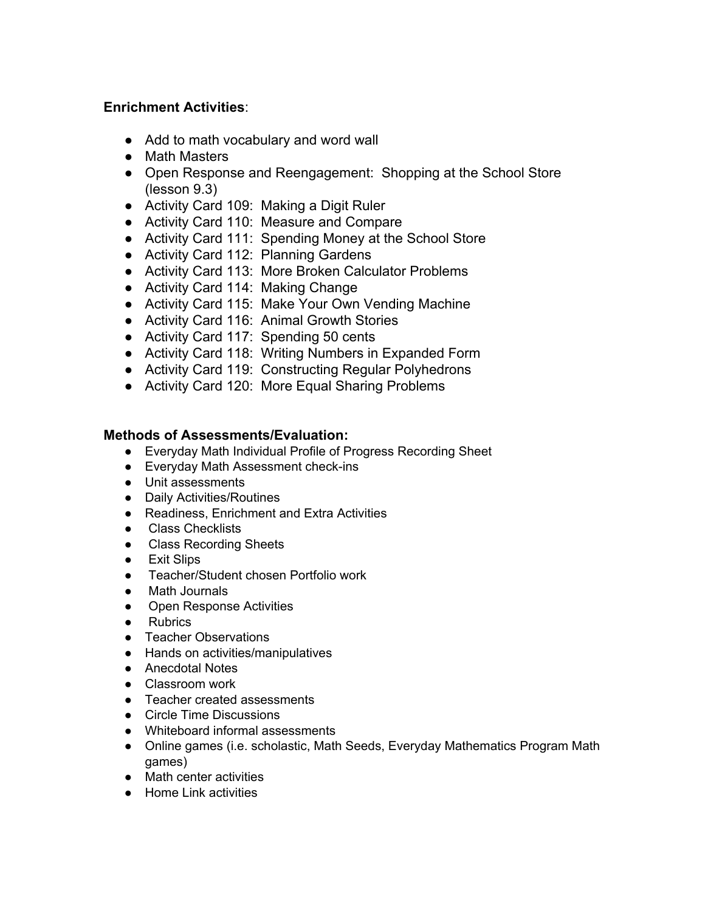### **Enrichment Activities**:

- Add to math vocabulary and word wall
- Math Masters
- Open Response and Reengagement: Shopping at the School Store (lesson 9.3)
- Activity Card 109: Making a Digit Ruler
- Activity Card 110: Measure and Compare
- Activity Card 111: Spending Money at the School Store
- Activity Card 112: Planning Gardens
- Activity Card 113: More Broken Calculator Problems
- Activity Card 114: Making Change
- Activity Card 115: Make Your Own Vending Machine
- Activity Card 116: Animal Growth Stories
- Activity Card 117: Spending 50 cents
- Activity Card 118: Writing Numbers in Expanded Form
- Activity Card 119: Constructing Regular Polyhedrons
- Activity Card 120: More Equal Sharing Problems

#### **Methods of Assessments/Evaluation:**

- Everyday Math Individual Profile of Progress Recording Sheet
- Everyday Math Assessment check-ins
- Unit assessments
- Daily Activities/Routines
- Readiness, Enrichment and Extra Activities
- Class Checklists
- Class Recording Sheets
- Exit Slips
- Teacher/Student chosen Portfolio work
- Math Journals
- Open Response Activities
- Rubrics
- Teacher Observations
- Hands on activities/manipulatives
- Anecdotal Notes
- Classroom work
- Teacher created assessments
- Circle Time Discussions
- Whiteboard informal assessments
- Online games (i.e. scholastic, Math Seeds, Everyday Mathematics Program Math games)
- Math center activities
- Home Link activities